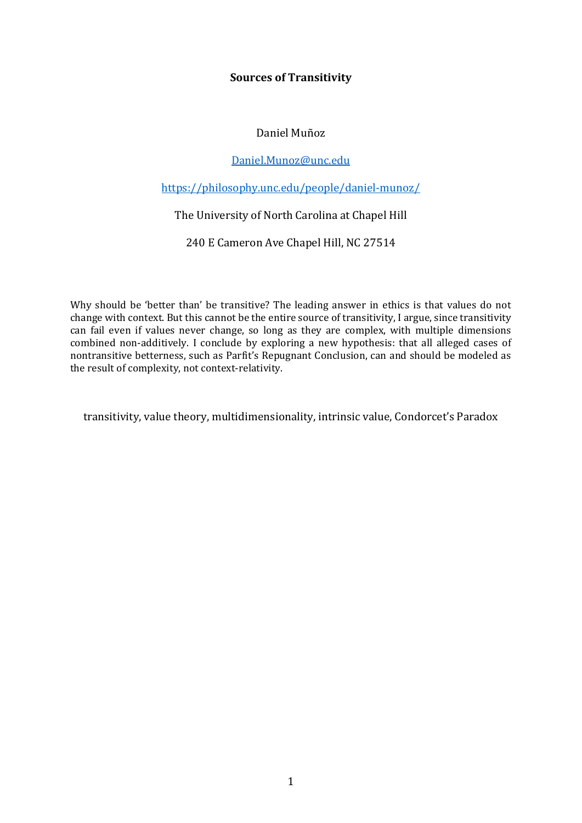# **Sources of Transitivity**

# Daniel Muñoz

## [Daniel.Munoz@unc.edu](mailto:Daniel.Munoz@unc.edu)

# <https://philosophy.unc.edu/people/daniel-munoz/>

# The University of North Carolina at Chapel Hill

240 E Cameron Ave Chapel Hill, NC 27514

Why should be 'better than' be transitive? The leading answer in ethics is that values do not change with context. But this cannot be the entire source of transitivity, I argue, since transitivity can fail even if values never change, so long as they are complex, with multiple dimensions combined non-additively. I conclude by exploring a new hypothesis: that all alleged cases of nontransitive betterness, such as Parfit's Repugnant Conclusion, can and should be modeled as the result of complexity, not context-relativity.

transitivity, value theory, multidimensionality, intrinsic value, Condorcet's Paradox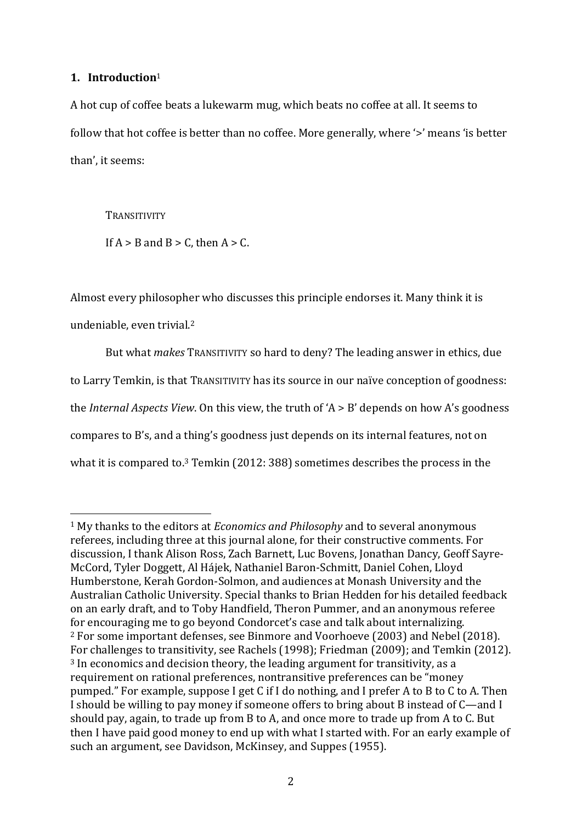# **1. Introduction**<sup>1</sup>

A hot cup of coffee beats a lukewarm mug, which beats no coffee at all. It seems to follow that hot coffee is better than no coffee. More generally, where '>' means 'is better than', it seems:

**TRANSITIVITY** 

If  $A > B$  and  $B > C$ , then  $A > C$ .

Almost every philosopher who discusses this principle endorses it. Many think it is undeniable, even trivial. 2

But what *makes* TRANSITIVITY so hard to deny? The leading answer in ethics, due to Larry Temkin, is that TRANSITIVITY has its source in our naïve conception of goodness: the *Internal Aspects View*. On this view, the truth of 'A > B' depends on how A's goodness compares to B's, and a thing's goodness just depends on its internal features, not on what it is compared to.<sup>3</sup> Temkin (2012: 388) sometimes describes the process in the

<sup>1</sup> My thanks to the editors at *Economics and Philosophy* and to several anonymous referees, including three at this journal alone, for their constructive comments. For discussion, I thank Alison Ross, Zach Barnett, Luc Bovens, Jonathan Dancy, Geoff Sayre-McCord, Tyler Doggett, Al Hájek, Nathaniel Baron-Schmitt, Daniel Cohen, Lloyd Humberstone, Kerah Gordon-Solmon, and audiences at Monash University and the Australian Catholic University. Special thanks to Brian Hedden for his detailed feedback on an early draft, and to Toby Handfield, Theron Pummer, and an anonymous referee for encouraging me to go beyond Condorcet's case and talk about internalizing. <sup>2</sup> For some important defenses, see Binmore and Voorhoeve (2003) and Nebel (2018). For challenges to transitivity, see Rachels (1998); Friedman (2009); and Temkin (2012). <sup>3</sup> In economics and decision theory, the leading argument for transitivity, as a requirement on rational preferences, nontransitive preferences can be "money pumped." For example, suppose I get C if I do nothing, and I prefer A to B to C to A. Then I should be willing to pay money if someone offers to bring about B instead of C—and I should pay, again, to trade up from B to A, and once more to trade up from A to C. But then I have paid good money to end up with what I started with. For an early example of such an argument, see Davidson, McKinsey, and Suppes (1955).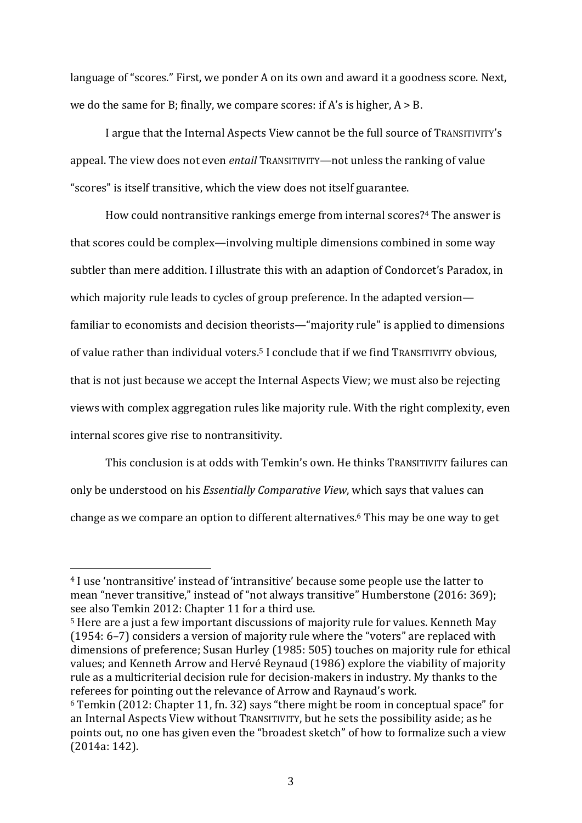language of "scores." First, we ponder A on its own and award it a goodness score. Next, we do the same for B; finally, we compare scores: if A's is higher,  $A > B$ .

I argue that the Internal Aspects View cannot be the full source of TRANSITIVITY's appeal. The view does not even *entail* TRANSITIVITY—not unless the ranking of value "scores" is itself transitive, which the view does not itself guarantee.

How could nontransitive rankings emerge from internal scores? <sup>4</sup> The answer is that scores could be complex—involving multiple dimensions combined in some way subtler than mere addition. I illustrate this with an adaption of Condorcet's Paradox, in which majority rule leads to cycles of group preference. In the adapted version familiar to economists and decision theorists—"majority rule" is applied to dimensions of value rather than individual voters.<sup>5</sup> I conclude that if we find TRANSITIVITY obvious, that is not just because we accept the Internal Aspects View; we must also be rejecting views with complex aggregation rules like majority rule. With the right complexity, even internal scores give rise to nontransitivity.

This conclusion is at odds with Temkin's own. He thinks TRANSITIVITY failures can only be understood on his *Essentially Comparative View*, which says that values can change as we compare an option to different alternatives. <sup>6</sup> This may be one way to get

<sup>4</sup> I use 'nontransitive' instead of 'intransitive' because some people use the latter to mean "never transitive," instead of "not always transitive" Humberstone (2016: 369); see also Temkin 2012: Chapter 11 for a third use.

<sup>5</sup> Here are a just a few important discussions of majority rule for values. Kenneth May (1954: 6–7) considers a version of majority rule where the "voters" are replaced with dimensions of preference; Susan Hurley (1985: 505) touches on majority rule for ethical values; and Kenneth Arrow and Hervé Reynaud (1986) explore the viability of majority rule as a multicriterial decision rule for decision-makers in industry. My thanks to the referees for pointing out the relevance of Arrow and Raynaud's work.

<sup>6</sup> Temkin (2012: Chapter 11, fn. 32) says "there might be room in conceptual space" for an Internal Aspects View without TRANSITIVITY, but he sets the possibility aside; as he points out, no one has given even the "broadest sketch" of how to formalize such a view (2014a: 142).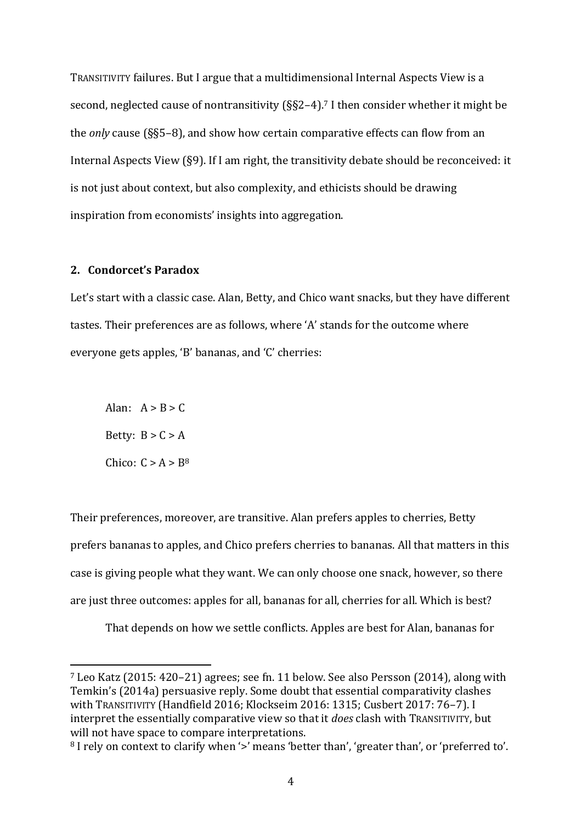TRANSITIVITY failures. But I argue that a multidimensional Internal Aspects View is a second, neglected cause of nontransitivity (§§2–4). <sup>7</sup> I then consider whether it might be the *only* cause (§§5–8), and show how certain comparative effects can flow from an Internal Aspects View (§9). If I am right, the transitivity debate should be reconceived: it is not just about context, but also complexity, and ethicists should be drawing inspiration from economists' insights into aggregation.

### **2. Condorcet's Paradox**

Let's start with a classic case. Alan, Betty, and Chico want snacks, but they have different tastes. Their preferences are as follows, where 'A' stands for the outcome where everyone gets apples, 'B' bananas, and 'C' cherries:

Alan:  $A > B > C$ Betty:  $B > C > A$ Chico:  $C > A > B<sup>8</sup>$ 

Their preferences, moreover, are transitive. Alan prefers apples to cherries, Betty prefers bananas to apples, and Chico prefers cherries to bananas. All that matters in this case is giving people what they want. We can only choose one snack, however, so there are just three outcomes: apples for all, bananas for all, cherries for all. Which is best?

That depends on how we settle conflicts. Apples are best for Alan, bananas for

<sup>7</sup> Leo Katz (2015: 420–21) agrees; see fn. 11 below. See also Persson (2014), along with Temkin's (2014a) persuasive reply. Some doubt that essential comparativity clashes with TRANSITIVITY (Handfield 2016; Klockseim 2016: 1315; Cusbert 2017: 76–7). I interpret the essentially comparative view so that it *does* clash with TRANSITIVITY, but will not have space to compare interpretations.

<sup>&</sup>lt;sup>8</sup> I rely on context to clarify when '>' means 'better than', 'greater than', or 'preferred to'.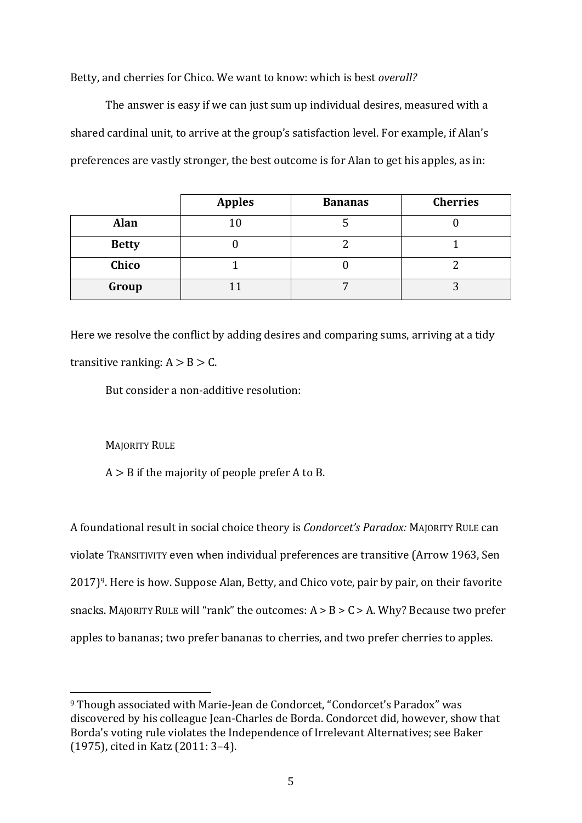Betty, and cherries for Chico. We want to know: which is best *overall?*

The answer is easy if we can just sum up individual desires, measured with a shared cardinal unit, to arrive at the group's satisfaction level. For example, if Alan's preferences are vastly stronger, the best outcome is for Alan to get his apples, as in:

|              | <b>Apples</b> | <b>Bananas</b> | <b>Cherries</b> |
|--------------|---------------|----------------|-----------------|
| Alan         | 10            |                |                 |
| <b>Betty</b> |               |                |                 |
| Chico        |               |                |                 |
| Group        |               |                |                 |

Here we resolve the conflict by adding desires and comparing sums, arriving at a tidy transitive ranking:  $A > B > C$ .

But consider a non-additive resolution:

MAJORITY RULE

 $A > B$  if the majority of people prefer A to B.

A foundational result in social choice theory is *Condorcet's Paradox:* MAJORITY RULE can violate TRANSITIVITY even when individual preferences are transitive (Arrow 1963, Sen 2017)9. Here is how. Suppose Alan, Betty, and Chico vote, pair by pair, on their favorite snacks. MAJORITY RULE will "rank" the outcomes:  $A > B > C > A$ . Why? Because two prefer apples to bananas; two prefer bananas to cherries, and two prefer cherries to apples.

<sup>9</sup> Though associated with Marie-Jean de Condorcet, "Condorcet's Paradox" was discovered by his colleague Jean-Charles de Borda. Condorcet did, however, show that Borda's voting rule violates the Independence of Irrelevant Alternatives; see Baker (1975), cited in Katz (2011: 3–4).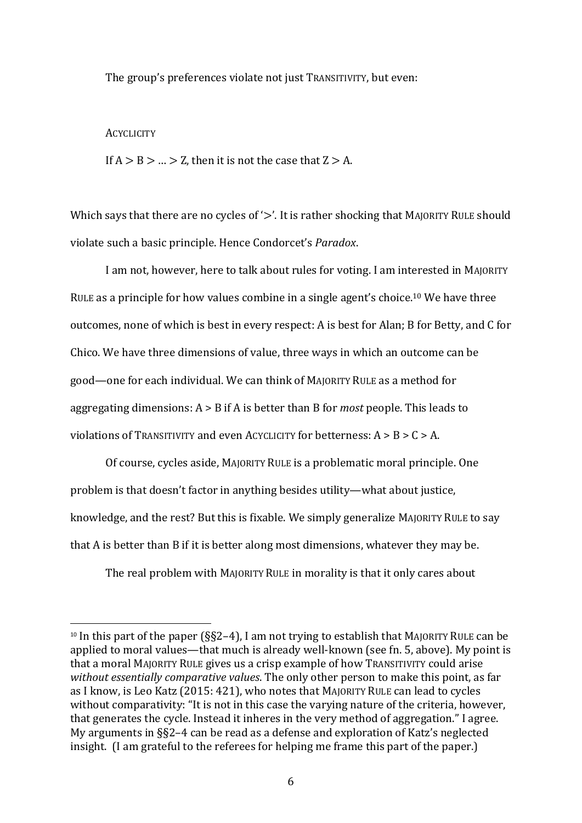The group's preferences violate not just TRANSITIVITY, but even:

#### **ACYCLICITY**

If  $A > B > ... > Z$ , then it is not the case that  $Z > A$ .

Which says that there are no cycles of '>'. It is rather shocking that MAJORITY RULE should violate such a basic principle. Hence Condorcet's *Paradox*.

I am not, however, here to talk about rules for voting. I am interested in MAJORITY RULE as a principle for how values combine in a single agent's choice.<sup>10</sup> We have three outcomes, none of which is best in every respect: A is best for Alan; B for Betty, and C for Chico. We have three dimensions of value, three ways in which an outcome can be good—one for each individual. We can think of MAJORITY RULE as a method for aggregating dimensions: A > B if A is better than B for *most* people. This leads to violations of TRANSITIVITY and even ACYCLICITY for betterness:  $A > B > C > A$ .

Of course, cycles aside, MAJORITY RULE is a problematic moral principle. One problem is that doesn't factor in anything besides utility—what about justice, knowledge, and the rest? But this is fixable. We simply generalize MAJORITY RULE to say that A is better than B if it is better along most dimensions, whatever they may be.

The real problem with MAJORITY RULE in morality is that it only cares about

<sup>&</sup>lt;sup>10</sup> In this part of the paper ( $\S$ §2–4), I am not trying to establish that MAJORITY RULE can be applied to moral values—that much is already well-known (see fn. 5, above). My point is that a moral MAJORITY RULE gives us a crisp example of how TRANSITIVITY could arise *without essentially comparative values*. The only other person to make this point, as far as I know, is Leo Katz (2015: 421), who notes that MAJORITY RULE can lead to cycles without comparativity: "It is not in this case the varying nature of the criteria, however, that generates the cycle. Instead it inheres in the very method of aggregation." I agree. My arguments in §§2–4 can be read as a defense and exploration of Katz's neglected insight. (I am grateful to the referees for helping me frame this part of the paper.)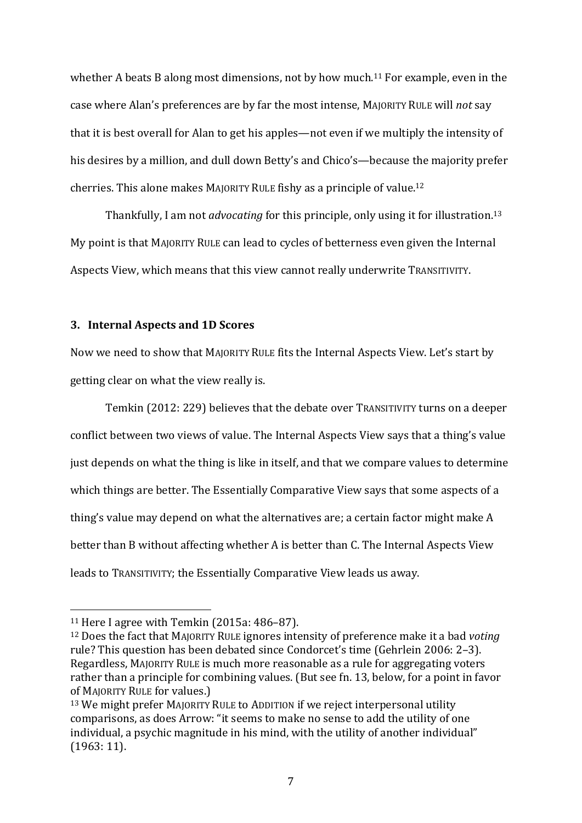whether A beats B along most dimensions, not by how much.<sup>11</sup> For example, even in the case where Alan's preferences are by far the most intense, MAJORITY RULE will *not* say that it is best overall for Alan to get his apples—not even if we multiply the intensity of his desires by a million, and dull down Betty's and Chico's—because the majority prefer cherries. This alone makes MAJORITY RULE fishy as a principle of value. 12

Thankfully, I am not *advocating* for this principle, only using it for illustration. 13 My point is that MAJORITY RULE can lead to cycles of betterness even given the Internal Aspects View, which means that this view cannot really underwrite TRANSITIVITY.

### **3. Internal Aspects and 1D Scores**

Now we need to show that MAJORITY RULE fits the Internal Aspects View. Let's start by getting clear on what the view really is.

Temkin (2012: 229) believes that the debate over TRANSITIVITY turns on a deeper conflict between two views of value. The Internal Aspects View says that a thing's value just depends on what the thing is like in itself, and that we compare values to determine which things are better. The Essentially Comparative View says that some aspects of a thing's value may depend on what the alternatives are; a certain factor might make A better than B without affecting whether A is better than C. The Internal Aspects View leads to TRANSITIVITY; the Essentially Comparative View leads us away.

<sup>11</sup> Here I agree with Temkin (2015a: 486–87).

<sup>12</sup> Does the fact that MAJORITY RULE ignores intensity of preference make it a bad *voting*  rule? This question has been debated since Condorcet's time (Gehrlein 2006: 2–3). Regardless, MAJORITY RULE is much more reasonable as a rule for aggregating voters rather than a principle for combining values. (But see fn. 13, below, for a point in favor of MAJORITY RULE for values.)

<sup>13</sup> We might prefer MAJORITY RULE to ADDITION if we reject interpersonal utility comparisons, as does Arrow: "it seems to make no sense to add the utility of one individual, a psychic magnitude in his mind, with the utility of another individual" (1963: 11).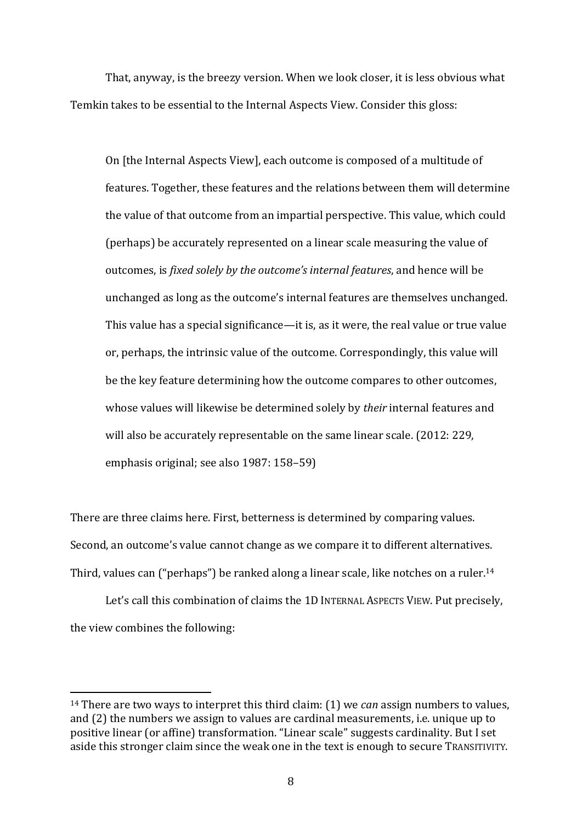That, anyway, is the breezy version. When we look closer, it is less obvious what Temkin takes to be essential to the Internal Aspects View. Consider this gloss:

On [the Internal Aspects View], each outcome is composed of a multitude of features. Together, these features and the relations between them will determine the value of that outcome from an impartial perspective. This value, which could (perhaps) be accurately represented on a linear scale measuring the value of outcomes, is *fixed solely by the outcome's internal features*, and hence will be unchanged as long as the outcome's internal features are themselves unchanged. This value has a special significance—it is, as it were, the real value or true value or, perhaps, the intrinsic value of the outcome. Correspondingly, this value will be the key feature determining how the outcome compares to other outcomes, whose values will likewise be determined solely by *their* internal features and will also be accurately representable on the same linear scale. (2012: 229, emphasis original; see also 1987: 158–59)

There are three claims here. First, betterness is determined by comparing values. Second, an outcome's value cannot change as we compare it to different alternatives. Third, values can ("perhaps") be ranked along a linear scale, like notches on a ruler.<sup>14</sup>

Let's call this combination of claims the 1D INTERNAL ASPECTS VIEW. Put precisely, the view combines the following:

<sup>14</sup> There are two ways to interpret this third claim: (1) we *can* assign numbers to values, and (2) the numbers we assign to values are cardinal measurements, i.e. unique up to positive linear (or affine) transformation. "Linear scale" suggests cardinality. But I set aside this stronger claim since the weak one in the text is enough to secure TRANSITIVITY.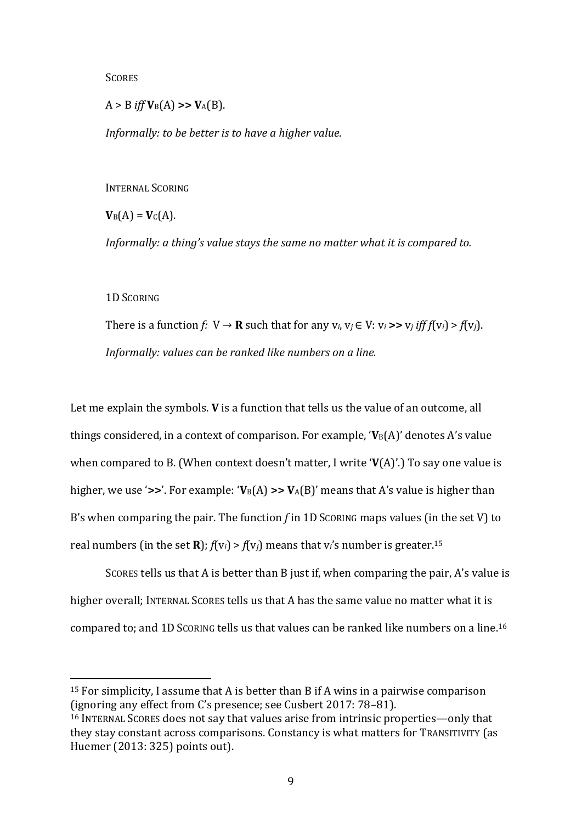**SCORES** 

 $A > B$  *iff*  $V_B(A)$  >>  $V_A(B)$ .

*Informally: to be better is to have a higher value.*

INTERNAL SCORING

 $V_B(A) = V_C(A)$ .

*Informally: a thing's value stays the same no matter what it is compared to.*

1D SCORING

There is a function *f*:  $V \rightarrow \mathbf{R}$  such that for any  $v_i$ ,  $v_j \in V$ :  $v_i >> v_j$  *iff f*( $v_i$ ) > *f*( $v_j$ ). *Informally: values can be ranked like numbers on a line.*

Let me explain the symbols. **V** is a function that tells us the value of an outcome, all things considered, in a context of comparison. For example,  $V_B(A)$ ' denotes A's value when compared to B. (When context doesn't matter, I write '**V**(A)'.) To say one value is higher, we use ' $\gg$ '. For example: ' $V_B(A) \gg V_A(B)$ ' means that A's value is higher than B's when comparing the pair. The function *f* in 1D SCORING maps values (in the set V) to real numbers (in the set **R**);  $f(v_i) > f(v_j)$  means that v<sub>i</sub>'s number is greater.<sup>15</sup>

SCORES tells us that A is better than B just if, when comparing the pair, A's value is higher overall; INTERNAL SCORES tells us that A has the same value no matter what it is compared to; and 1D SCORING tells us that values can be ranked like numbers on a line. 16

<sup>&</sup>lt;sup>15</sup> For simplicity, I assume that A is better than B if A wins in a pairwise comparison (ignoring any effect from C's presence; see Cusbert 2017: 78–81).

<sup>16</sup> INTERNAL SCORES does not say that values arise from intrinsic properties—only that they stay constant across comparisons. Constancy is what matters for TRANSITIVITY (as Huemer (2013: 325) points out).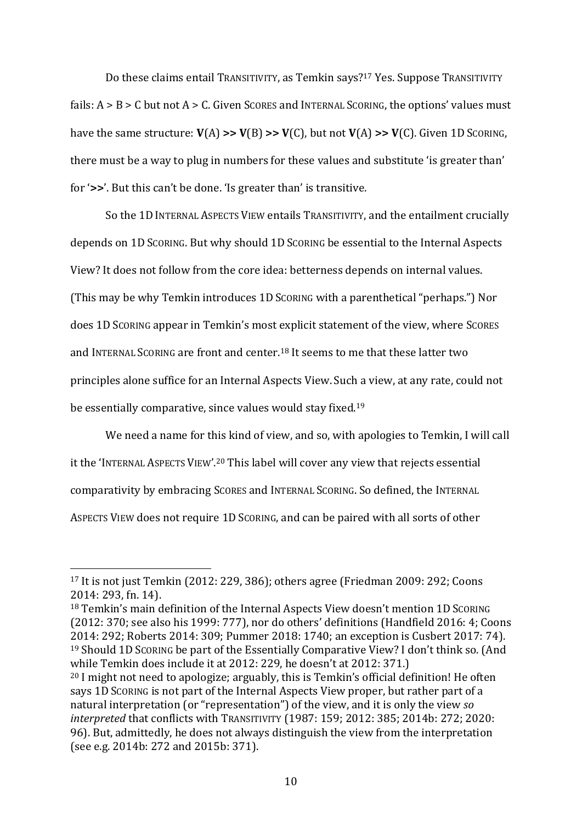Do these claims entail TRANSITIVITY, as Temkin says?<sup>17</sup> Yes. Suppose TRANSITIVITY fails:  $A > B > C$  but not  $A > C$ . Given SCORES and INTERNAL SCORING, the options' values must have the same structure: **V**(A) **>> V**(B) **>> V**(C), but not **V**(A) **>> V**(C). Given 1D SCORING, there must be a way to plug in numbers for these values and substitute 'is greater than' for '**>>**'. But this can't be done. 'Is greater than' is transitive.

So the 1D INTERNAL ASPECTS VIEW entails TRANSITIVITY, and the entailment crucially depends on 1D SCORING. But why should 1D SCORING be essential to the Internal Aspects View? It does not follow from the core idea: betterness depends on internal values. (This may be why Temkin introduces 1D SCORING with a parenthetical "perhaps.") Nor does 1D SCORING appear in Temkin's most explicit statement of the view, where SCORES and INTERNAL SCORING are front and center.<sup>18</sup> It seems to me that these latter two principles alone suffice for an Internal Aspects View.Such a view, at any rate, could not be essentially comparative, since values would stay fixed.<sup>19</sup>

We need a name for this kind of view, and so, with apologies to Temkin, I will call it the 'INTERNAL ASPECTS VIEW'. <sup>20</sup> This label will cover any view that rejects essential comparativity by embracing SCORES and INTERNAL SCORING. So defined, the INTERNAL ASPECTS VIEW does not require 1D SCORING, and can be paired with all sorts of other

<sup>18</sup> Temkin's main definition of the Internal Aspects View doesn't mention 1D SCORING (2012: 370; see also his 1999: 777), nor do others' definitions (Handfield 2016: 4; Coons 2014: 292; Roberts 2014: 309; Pummer 2018: 1740; an exception is Cusbert 2017: 74). <sup>19</sup> Should 1D SCORING be part of the Essentially Comparative View? I don't think so. (And while Temkin does include it at 2012: 229, he doesn't at 2012: 371.)

<sup>17</sup> It is not just Temkin (2012: 229, 386); others agree (Friedman 2009: 292; Coons 2014: 293, fn. 14).

 $20$  I might not need to apologize; arguably, this is Temkin's official definition! He often says 1D SCORING is not part of the Internal Aspects View proper, but rather part of a natural interpretation (or "representation") of the view, and it is only the view *so interpreted* that conflicts with TRANSITIVITY (1987: 159; 2012: 385; 2014b: 272; 2020: 96). But, admittedly, he does not always distinguish the view from the interpretation (see e.g. 2014b: 272 and 2015b: 371).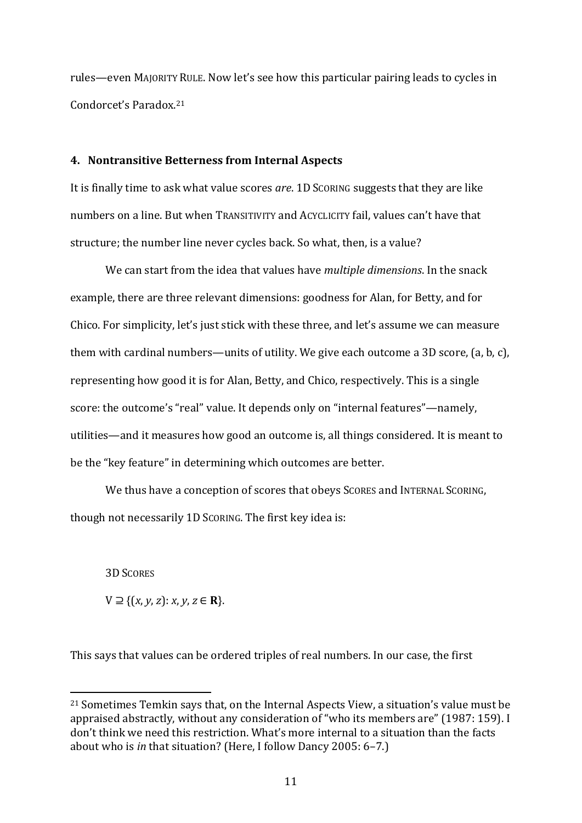rules—even MAJORITY RULE. Now let's see how this particular pairing leads to cycles in Condorcet's Paradox. 21

### **4. Nontransitive Betterness from Internal Aspects**

It is finally time to ask what value scores *are*. 1D SCORING suggests that they are like numbers on a line. But when TRANSITIVITY and ACYCLICITY fail, values can't have that structure; the number line never cycles back. So what, then, is a value?

We can start from the idea that values have *multiple dimensions*. In the snack example, there are three relevant dimensions: goodness for Alan, for Betty, and for Chico. For simplicity, let's just stick with these three, and let's assume we can measure them with cardinal numbers—units of utility. We give each outcome a 3D score, (a, b, c), representing how good it is for Alan, Betty, and Chico, respectively. This is a single score: the outcome's "real" value. It depends only on "internal features"—namely, utilities—and it measures how good an outcome is, all things considered. It is meant to be the "key feature" in determining which outcomes are better.

We thus have a conception of scores that obeys SCORES and INTERNAL SCORING. though not necessarily 1D SCORING. The first key idea is:

3D SCORES

 $V ⊇ { (x, y, z): x, y, z ∈ **R** }$ .

This says that values can be ordered triples of real numbers. In our case, the first

<sup>21</sup> Sometimes Temkin says that, on the Internal Aspects View, a situation's value must be appraised abstractly, without any consideration of "who its members are" (1987: 159). I don't think we need this restriction. What's more internal to a situation than the facts about who is *in* that situation? (Here, I follow Dancy 2005: 6–7.)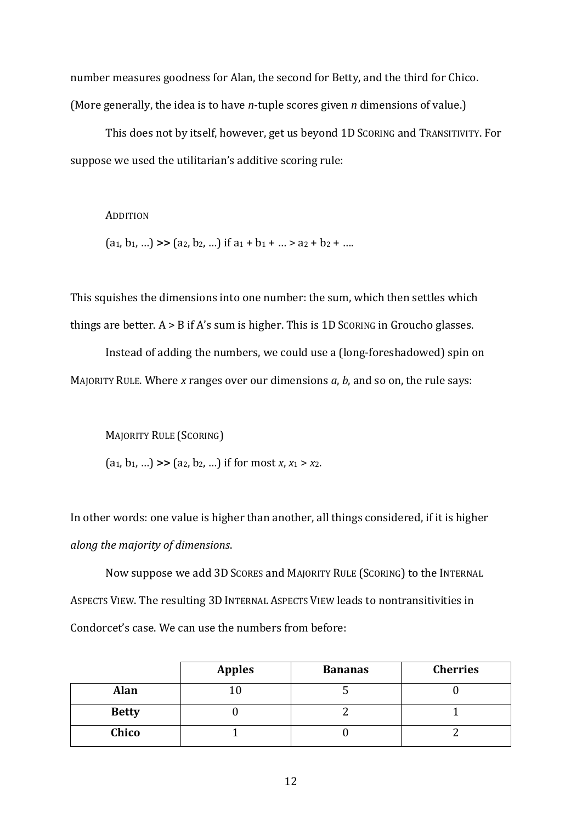number measures goodness for Alan, the second for Betty, and the third for Chico. (More generally, the idea is to have *n*-tuple scores given *n* dimensions of value.)

This does not by itself, however, get us beyond 1D SCORING and TRANSITIVITY. For suppose we used the utilitarian's additive scoring rule:

#### ADDITION

 $(a_1, b_1, ...)$  >>  $(a_2, b_2, ...)$  if  $a_1 + b_1 + ... > a_2 + b_2 + ...$ 

This squishes the dimensions into one number: the sum, which then settles which things are better.  $A > B$  if  $A$ 's sum is higher. This is 1D SCORING in Groucho glasses.

Instead of adding the numbers, we could use a (long-foreshadowed) spin on MAJORITY RULE. Where *x* ranges over our dimensions *a*, *b*, and so on, the rule says:

MAJORITY RULE (SCORING)

(a1, b1, …) **>>** (a2, b2, …) if for most *x*, *x*<sup>1</sup> > *x*2.

In other words: one value is higher than another, all things considered, if it is higher *along the majority of dimensions*.

Now suppose we add 3D SCORES and MAJORITY RULE (SCORING) to the INTERNAL ASPECTS VIEW. The resulting 3D INTERNAL ASPECTS VIEW leads to nontransitivities in Condorcet's case. We can use the numbers from before:

|              | <b>Apples</b> | <b>Bananas</b> | <b>Cherries</b> |
|--------------|---------------|----------------|-----------------|
| <b>Alan</b>  |               |                |                 |
| <b>Betty</b> |               |                |                 |
| Chico        |               |                |                 |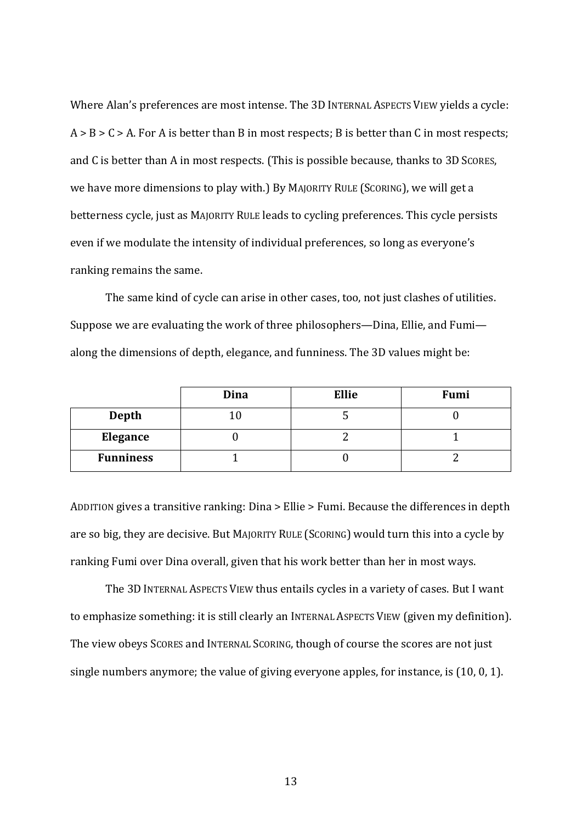Where Alan's preferences are most intense. The 3D INTERNAL ASPECTS VIEW yields a cycle:  $A > B > C > A$ . For A is better than B in most respects; B is better than C in most respects; and C is better than A in most respects. (This is possible because, thanks to 3D SCORES, we have more dimensions to play with.) By MAJORITY RULE (SCORING), we will get a betterness cycle, just as MAJORITY RULE leads to cycling preferences. This cycle persists even if we modulate the intensity of individual preferences, so long as everyone's ranking remains the same.

The same kind of cycle can arise in other cases, too, not just clashes of utilities. Suppose we are evaluating the work of three philosophers—Dina, Ellie, and Fumi along the dimensions of depth, elegance, and funniness. The 3D values might be:

|                  | Dina | <b>Ellie</b> | Fumi |
|------------------|------|--------------|------|
| <b>Depth</b>     |      |              |      |
| <b>Elegance</b>  |      |              |      |
| <b>Funniness</b> |      |              |      |

ADDITION gives a transitive ranking: Dina > Ellie > Fumi. Because the differences in depth are so big, they are decisive. But MAJORITY RULE (SCORING) would turn this into a cycle by ranking Fumi over Dina overall, given that his work better than her in most ways.

The 3D INTERNAL ASPECTS VIEW thus entails cycles in a variety of cases. But I want to emphasize something: it is still clearly an INTERNAL ASPECTS VIEW (given my definition). The view obeys SCORES and INTERNAL SCORING, though of course the scores are not just single numbers anymore; the value of giving everyone apples, for instance, is (10, 0, 1).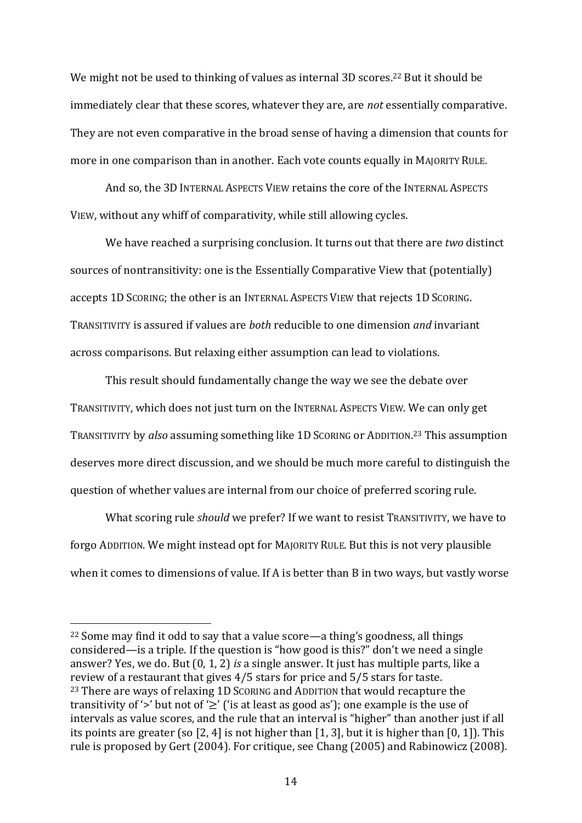We might not be used to thinking of values as internal 3D scores.<sup>22</sup> But it should be immediately clear that these scores, whatever they are, are *not* essentially comparative. They are not even comparative in the broad sense of having a dimension that counts for more in one comparison than in another. Each vote counts equally in MAJORITY RULE.

And so, the 3D INTERNAL ASPECTS VIEW retains the core of the INTERNAL ASPECTS VIEW, without any whiff of comparativity, while still allowing cycles.

We have reached a surprising conclusion. It turns out that there are *two* distinct sources of nontransitivity: one is the Essentially Comparative View that (potentially) accepts 1D SCORING; the other is an INTERNAL ASPECTS VIEW that rejects 1D SCORING. TRANSITIVITY is assured if values are *both* reducible to one dimension *and* invariant across comparisons. But relaxing either assumption can lead to violations.

This result should fundamentally change the way we see the debate over TRANSITIVITY, which does not just turn on the INTERNAL ASPECTS VIEW. We can only get TRANSITIVITY by *also* assuming something like 1D SCORING or ADDITION. <sup>23</sup> This assumption deserves more direct discussion, and we should be much more careful to distinguish the question of whether values are internal from our choice of preferred scoring rule.

What scoring rule *should* we prefer? If we want to resist TRANSITIVITY, we have to forgo ADDITION. We might instead opt for MAJORITY RULE. But this is not very plausible when it comes to dimensions of value. If A is better than B in two ways, but vastly worse

<sup>22</sup> Some may find it odd to say that a value score—a thing's goodness, all things considered—is a triple. If the question is "how good is this?" don't we need a single answer? Yes, we do. But (0, 1, 2) *is* a single answer. It just has multiple parts, like a review of a restaurant that gives 4/5 stars for price and 5/5 stars for taste. <sup>23</sup> There are ways of relaxing 1D SCORING and ADDITION that would recapture the transitivity of '>' but not of ' $\geq$ ' ('is at least as good as'); one example is the use of intervals as value scores, and the rule that an interval is "higher" than another just if all its points are greater (so [2, 4] is not higher than [1, 3], but it is higher than [0, 1]). This rule is proposed by Gert (2004). For critique, see Chang (2005) and Rabinowicz (2008).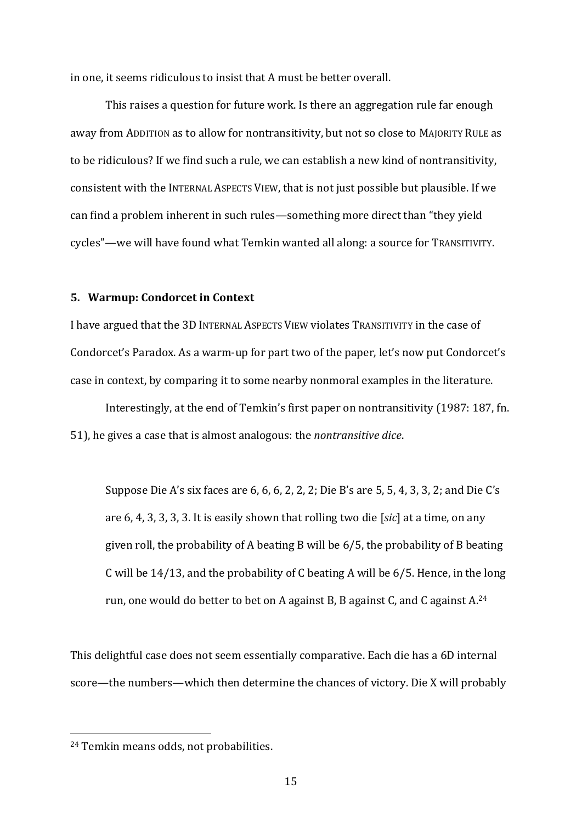in one, it seems ridiculous to insist that A must be better overall.

This raises a question for future work. Is there an aggregation rule far enough away from ADDITION as to allow for nontransitivity, but not so close to MAJORITY RULE as to be ridiculous? If we find such a rule, we can establish a new kind of nontransitivity, consistent with the INTERNAL ASPECTS VIEW, that is not just possible but plausible. If we can find a problem inherent in such rules—something more direct than "they yield cycles"—we will have found what Temkin wanted all along: a source for TRANSITIVITY.

## **5. Warmup: Condorcet in Context**

I have argued that the 3D INTERNAL ASPECTS VIEW violates TRANSITIVITY in the case of Condorcet's Paradox. As a warm-up for part two of the paper, let's now put Condorcet's case in context, by comparing it to some nearby nonmoral examples in the literature.

Interestingly, at the end of Temkin's first paper on nontransitivity (1987: 187, fn. 51), he gives a case that is almost analogous: the *nontransitive dice*.

Suppose Die A's six faces are 6, 6, 6, 2, 2, 2; Die B's are 5, 5, 4, 3, 3, 2; and Die C's are 6, 4, 3, 3, 3, 3. It is easily shown that rolling two die [*sic*] at a time, on any given roll, the probability of A beating B will be 6/5, the probability of B beating C will be 14/13, and the probability of C beating A will be 6/5. Hence, in the long run, one would do better to bet on A against B, B against C, and C against A.<sup>24</sup>

This delightful case does not seem essentially comparative. Each die has a 6D internal score—the numbers—which then determine the chances of victory. Die X will probably

<sup>24</sup> Temkin means odds, not probabilities.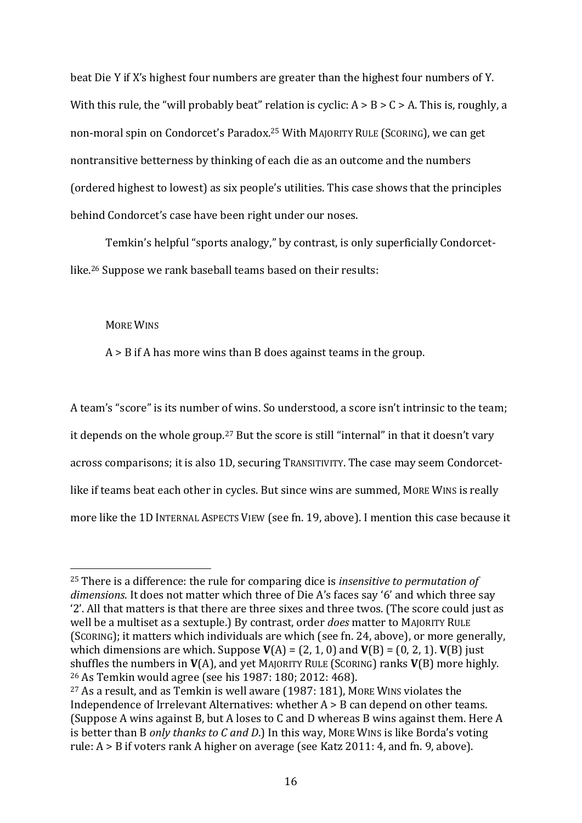beat Die Y if X's highest four numbers are greater than the highest four numbers of Y. With this rule, the "will probably beat" relation is cyclic:  $A > B > C > A$ . This is, roughly, a non-moral spin on Condorcet's Paradox. <sup>25</sup> With MAJORITY RULE (SCORING), we can get nontransitive betterness by thinking of each die as an outcome and the numbers (ordered highest to lowest) as six people's utilities. This case shows that the principles behind Condorcet's case have been right under our noses.

Temkin's helpful "sports analogy," by contrast, is only superficially Condorcetlike. <sup>26</sup> Suppose we rank baseball teams based on their results:

MORE WINS

A > B if A has more wins than B does against teams in the group.

A team's "score" is its number of wins. So understood, a score isn't intrinsic to the team; it depends on the whole group.<sup>27</sup> But the score is still "internal" in that it doesn't vary across comparisons; it is also 1D, securing TRANSITIVITY. The case may seem Condorcetlike if teams beat each other in cycles. But since wins are summed, MORE WINS is really more like the 1D INTERNAL ASPECTS VIEW (see fn. 19, above). I mention this case because it

<sup>25</sup> There is a difference: the rule for comparing dice is *insensitive to permutation of dimensions*. It does not matter which three of Die A's faces say '6' and which three say '2'. All that matters is that there are three sixes and three twos. (The score could just as well be a multiset as a sextuple.) By contrast, order *does* matter to MAJORITY RULE (SCORING); it matters which individuals are which (see fn. 24, above), or more generally, which dimensions are which. Suppose  $V(A) = (2, 1, 0)$  and  $V(B) = (0, 2, 1)$ .  $V(B)$  just shuffles the numbers in **V**(A), and yet MAJORITY RULE (SCORING) ranks **V**(B) more highly. <sup>26</sup> As Temkin would agree (see his 1987: 180; 2012: 468).

<sup>27</sup> As a result, and as Temkin is well aware (1987: 181), MORE WINS violates the Independence of Irrelevant Alternatives: whether A > B can depend on other teams. (Suppose A wins against B, but A loses to C and D whereas B wins against them. Here A is better than B *only thanks to C and D*.) In this way, MORE WINS is like Borda's voting rule: A > B if voters rank A higher on average (see Katz 2011: 4, and fn. 9, above).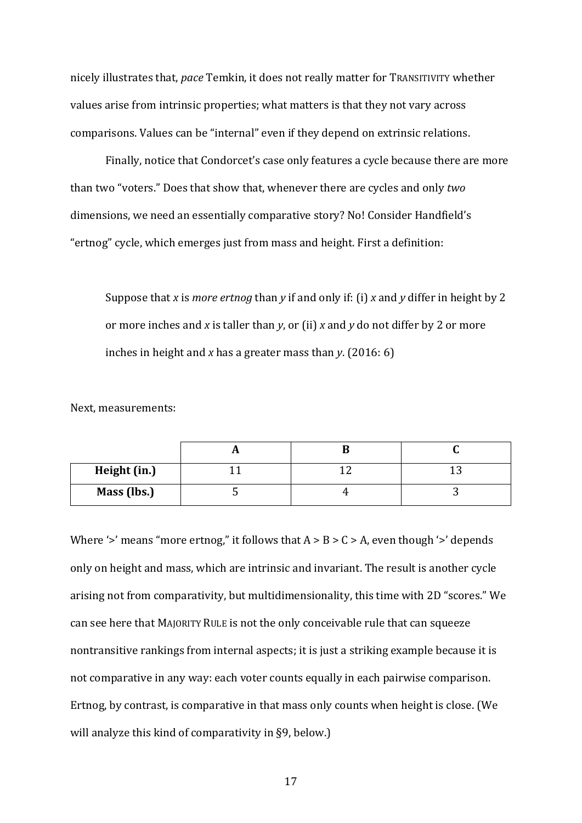nicely illustrates that, *pace* Temkin, it does not really matter for TRANSITIVITY whether values arise from intrinsic properties; what matters is that they not vary across comparisons. Values can be "internal" even if they depend on extrinsic relations.

Finally, notice that Condorcet's case only features a cycle because there are more than two "voters." Does that show that, whenever there are cycles and only *two*  dimensions, we need an essentially comparative story? No! Consider Handfield's "ertnog" cycle, which emerges just from mass and height. First a definition:

Suppose that *x* is *more ertnog* than *y* if and only if: (i) *x* and *y* differ in height by 2 or more inches and *x* is taller than *y*, or (ii) *x* and *y* do not differ by 2 or more inches in height and *x* has a greater mass than *y*. (2016: 6)

Next, measurements:

| Height (in.) |  |  |
|--------------|--|--|
| Mass (lbs.)  |  |  |

Where '>' means "more ertnog," it follows that  $A > B > C > A$ , even though '>' depends only on height and mass, which are intrinsic and invariant. The result is another cycle arising not from comparativity, but multidimensionality, this time with 2D "scores." We can see here that MAJORITY RULE is not the only conceivable rule that can squeeze nontransitive rankings from internal aspects; it is just a striking example because it is not comparative in any way: each voter counts equally in each pairwise comparison. Ertnog, by contrast, is comparative in that mass only counts when height is close. (We will analyze this kind of comparativity in §9, below.)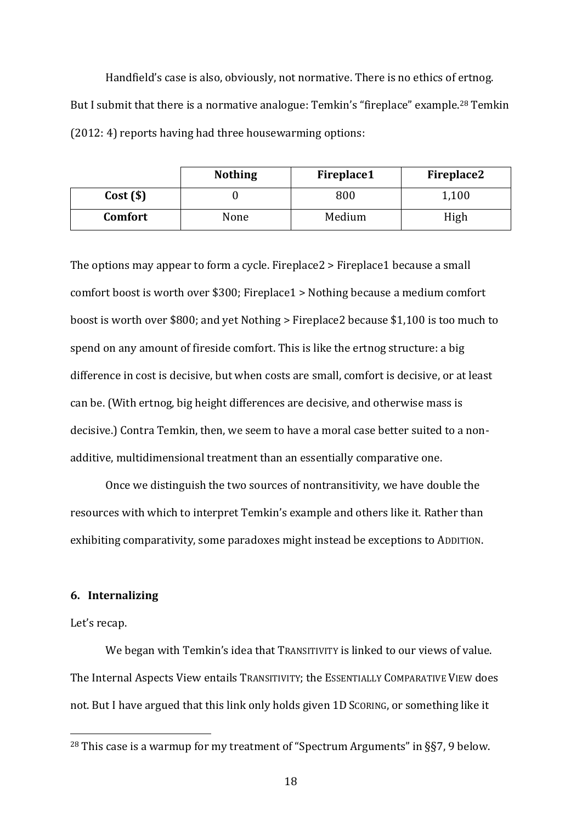Handfield's case is also, obviously, not normative. There is no ethics of ertnog. But I submit that there is a normative analogue: Temkin's "fireplace" example.<sup>28</sup> Temkin (2012: 4) reports having had three housewarming options:

|         | <b>Nothing</b> | <b>Fireplace1</b> | Fireplace2 |
|---------|----------------|-------------------|------------|
| Cost(S) |                | 800               | 1,100      |
| Comfort | None           | Medium            | High       |

The options may appear to form a cycle. Fireplace2 > Fireplace1 because a small comfort boost is worth over \$300; Fireplace1 > Nothing because a medium comfort boost is worth over \$800; and yet Nothing > Fireplace2 because \$1,100 is too much to spend on any amount of fireside comfort. This is like the ertnog structure: a big difference in cost is decisive, but when costs are small, comfort is decisive, or at least can be. (With ertnog, big height differences are decisive, and otherwise mass is decisive.) Contra Temkin, then, we seem to have a moral case better suited to a nonadditive, multidimensional treatment than an essentially comparative one.

Once we distinguish the two sources of nontransitivity, we have double the resources with which to interpret Temkin's example and others like it. Rather than exhibiting comparativity, some paradoxes might instead be exceptions to ADDITION.

#### **6. Internalizing**

#### Let's recap.

We began with Temkin's idea that TRANSITIVITY is linked to our views of value. The Internal Aspects View entails TRANSITIVITY; the ESSENTIALLY COMPARATIVE VIEW does not. But I have argued that this link only holds given 1D SCORING, or something like it

<sup>&</sup>lt;sup>28</sup> This case is a warmup for my treatment of "Spectrum Arguments" in  $\S$ 57, 9 below.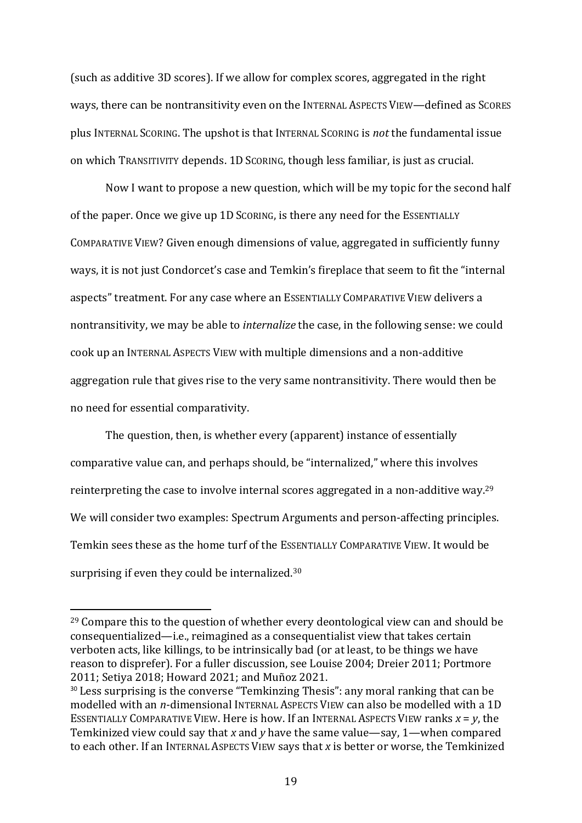(such as additive 3D scores). If we allow for complex scores, aggregated in the right ways, there can be nontransitivity even on the INTERNAL ASPECTS VIEW—defined as SCORES plus INTERNAL SCORING. The upshot is that INTERNAL SCORING is *not* the fundamental issue on which TRANSITIVITY depends. 1D SCORING, though less familiar, is just as crucial.

Now I want to propose a new question, which will be my topic for the second half of the paper. Once we give up 1D SCORING, is there any need for the ESSENTIALLY COMPARATIVE VIEW? Given enough dimensions of value, aggregated in sufficiently funny ways, it is not just Condorcet's case and Temkin's fireplace that seem to fit the "internal aspects" treatment. For any case where an ESSENTIALLY COMPARATIVE VIEW delivers a nontransitivity, we may be able to *internalize* the case, in the following sense: we could cook up an INTERNAL ASPECTS VIEW with multiple dimensions and a non-additive aggregation rule that gives rise to the very same nontransitivity. There would then be no need for essential comparativity.

The question, then, is whether every (apparent) instance of essentially comparative value can, and perhaps should, be "internalized," where this involves reinterpreting the case to involve internal scores aggregated in a non-additive way.<sup>29</sup> We will consider two examples: Spectrum Arguments and person-affecting principles. Temkin sees these as the home turf of the ESSENTIALLY COMPARATIVE VIEW. It would be surprising if even they could be internalized.<sup>30</sup>

<sup>&</sup>lt;sup>29</sup> Compare this to the question of whether every deontological view can and should be consequentialized—i.e., reimagined as a consequentialist view that takes certain verboten acts, like killings, to be intrinsically bad (or at least, to be things we have reason to disprefer). For a fuller discussion, see Louise 2004; Dreier 2011; Portmore 2011; Setiya 2018; Howard 2021; and Muñoz 2021.

<sup>&</sup>lt;sup>30</sup> Less surprising is the converse "Temkinzing Thesis": any moral ranking that can be modelled with an *n*-dimensional INTERNAL ASPECTS VIEW can also be modelled with a 1D ESSENTIALLY COMPARATIVE VIEW. Here is how. If an INTERNAL ASPECTS VIEW ranks  $x = v$ , the Temkinized view could say that *x* and *y* have the same value—say, 1—when compared to each other. If an INTERNAL ASPECTS VIEW says that *x* is better or worse, the Temkinized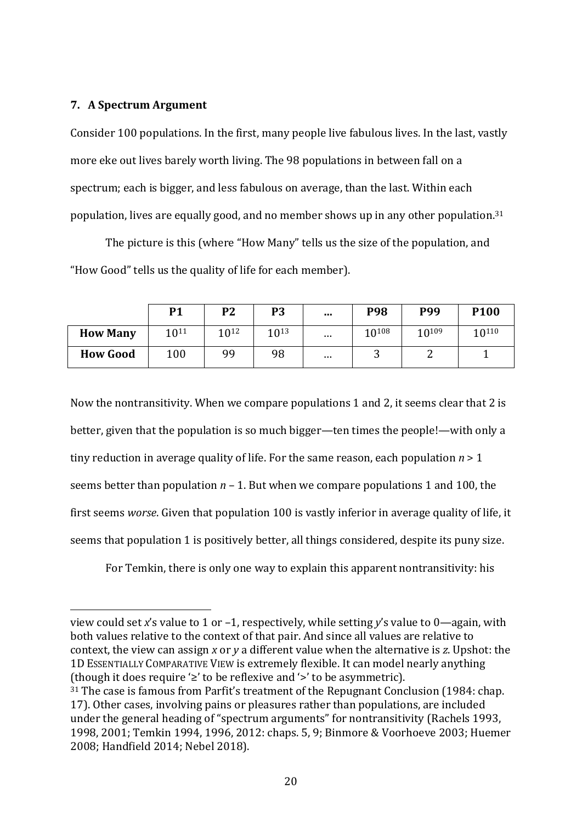# **7. A Spectrum Argument**

Consider 100 populations. In the first, many people live fabulous lives. In the last, vastly more eke out lives barely worth living. The 98 populations in between fall on a spectrum; each is bigger, and less fabulous on average, than the last. Within each population, lives are equally good, and no member shows up in any other population.<sup>31</sup>

The picture is this (where "How Many" tells us the size of the population, and "How Good" tells us the quality of life for each member).

|                 | <b>P1</b> | P <sub>2</sub>   | P <sub>3</sub>   | $\cdots$      | <b>P98</b> | P99        | P <sub>100</sub> |
|-----------------|-----------|------------------|------------------|---------------|------------|------------|------------------|
| <b>How Many</b> | 1011      | 10 <sup>12</sup> | 10 <sup>13</sup> | $\sim$ $\sim$ | 10108      | $10^{109}$ | 10110            |
| <b>How Good</b> | 100       | 99               | 98               | $\cdots$      | ⌒<br>ັ     | ⊷          |                  |

Now the nontransitivity. When we compare populations 1 and 2, it seems clear that 2 is better, given that the population is so much bigger—ten times the people!—with only a tiny reduction in average quality of life. For the same reason, each population *n* > 1 seems better than population *n* – 1. But when we compare populations 1 and 100, the first seems *worse*. Given that population 100 is vastly inferior in average quality of life, it seems that population 1 is positively better, all things considered, despite its puny size.

For Temkin, there is only one way to explain this apparent nontransitivity: his

view could set *x*'s value to 1 or –1, respectively, while setting *y*'s value to 0—again, with both values relative to the context of that pair. And since all values are relative to context, the view can assign *x* or *y* a different value when the alternative is *z*. Upshot: the 1D ESSENTIALLY COMPARATIVE VIEW is extremely flexible. It can model nearly anything (though it does require '≥' to be reflexive and '>' to be asymmetric).

<sup>31</sup> The case is famous from Parfit's treatment of the Repugnant Conclusion (1984: chap. 17). Other cases, involving pains or pleasures rather than populations, are included under the general heading of "spectrum arguments" for nontransitivity (Rachels 1993, 1998, 2001; Temkin 1994, 1996, 2012: chaps. 5, 9; Binmore & Voorhoeve 2003; Huemer 2008; Handfield 2014; Nebel 2018).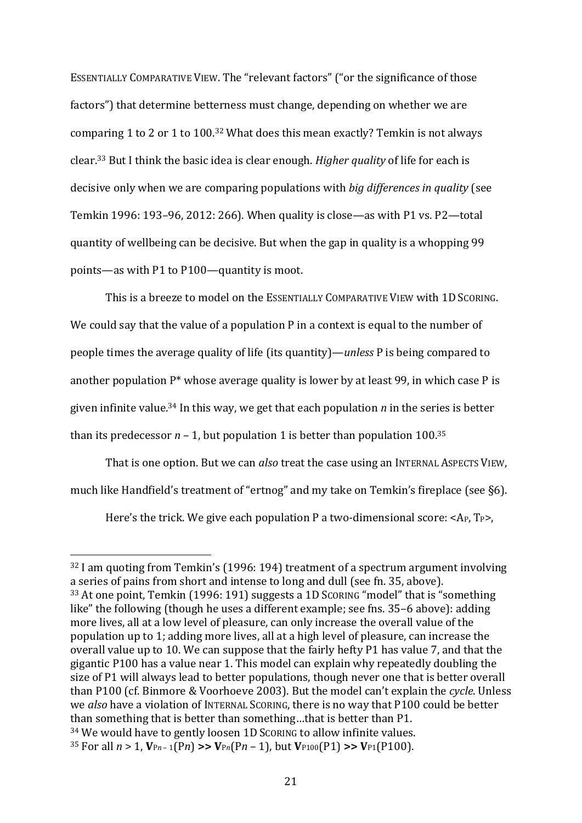ESSENTIALLY COMPARATIVE VIEW. The "relevant factors" ("or the significance of those factors") that determine betterness must change, depending on whether we are comparing 1 to 2 or 1 to 100.<sup>32</sup> What does this mean exactly? Temkin is not always clear. <sup>33</sup> But I think the basic idea is clear enough. *Higher quality* of life for each is decisive only when we are comparing populations with *big differences in quality* (see Temkin 1996: 193–96, 2012: 266). When quality is close—as with P1 vs. P2—total quantity of wellbeing can be decisive. But when the gap in quality is a whopping 99 points—as with P1 to P100—quantity is moot.

This is a breeze to model on the ESSENTIALLY COMPARATIVE VIEW with 1D SCORING. We could say that the value of a population P in a context is equal to the number of people times the average quality of life (its quantity)—*unless* P is being compared to another population  $P^*$  whose average quality is lower by at least 99, in which case P is given infinite value.<sup>34</sup> In this way, we get that each population *n* in the series is better than its predecessor  $n - 1$ , but population 1 is better than population 100.<sup>35</sup>

That is one option. But we can *also* treat the case using an INTERNAL ASPECTS VIEW, much like Handfield's treatment of "ertnog" and my take on Temkin's fireplace (see §6).

Here's the trick. We give each population P a two-dimensional score:  $\langle A_P, T_P \rangle$ ,

<sup>32</sup> I am quoting from Temkin's (1996: 194) treatment of a spectrum argument involving a series of pains from short and intense to long and dull (see fn. 35, above). <sup>33</sup> At one point, Temkin (1996: 191) suggests a 1D SCORING "model" that is "something like" the following (though he uses a different example; see fns. 35–6 above): adding more lives, all at a low level of pleasure, can only increase the overall value of the population up to 1; adding more lives, all at a high level of pleasure, can increase the overall value up to 10. We can suppose that the fairly hefty P1 has value 7, and that the gigantic P100 has a value near 1. This model can explain why repeatedly doubling the size of P1 will always lead to better populations, though never one that is better overall than P100 (cf. Binmore & Voorhoeve 2003). But the model can't explain the *cycle*. Unless we *also* have a violation of INTERNAL SCORING, there is no way that P100 could be better than something that is better than something…that is better than P1. <sup>34</sup> We would have to gently loosen 1D SCORING to allow infinite values. <sup>35</sup> For all  $n > 1$ ,  $V_{Pn-1}(Pn) \gg V_{Pn}(Pn-1)$ , but  $V_{P100}(P1) \gg V_{P1}(P100)$ .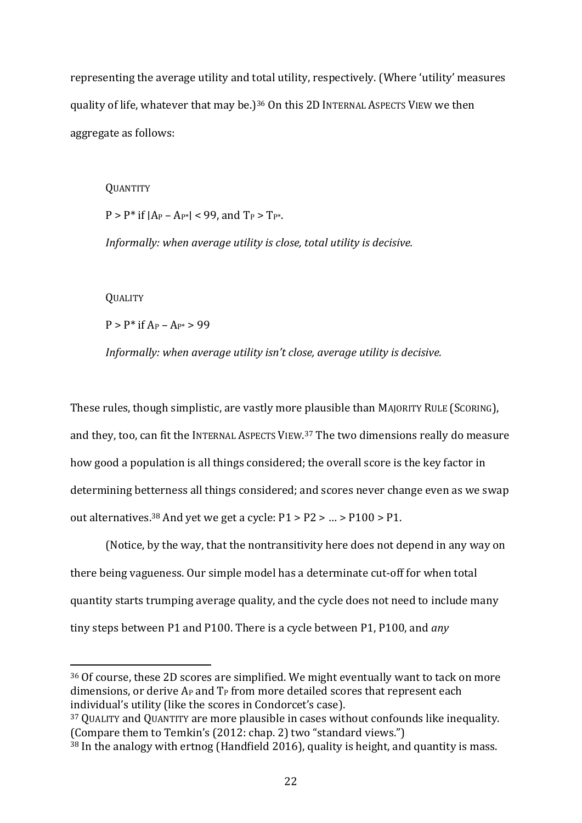representing the average utility and total utility, respectively. (Where 'utility' measures quality of life, whatever that may be.)<sup>36</sup> On this 2D INTERNAL ASPECTS VIEW we then aggregate as follows:

**OUANTITY**  $P > P^*$  if  $|Ap - Ap^*| < 99$ , and  $T_P > T_{P^*}$ . *Informally: when average utility is close, total utility is decisive.* **QUALITY** 

 $P > P^*$  if  $A_P - A_{P^*} > 99$ 

*Informally: when average utility isn't close, average utility is decisive.*

These rules, though simplistic, are vastly more plausible than MAJORITY RULE (SCORING), and they, too, can fit the INTERNAL ASPECTS VIEW.<sup>37</sup> The two dimensions really do measure how good a population is all things considered; the overall score is the key factor in determining betterness all things considered; and scores never change even as we swap out alternatives.<sup>38</sup> And yet we get a cycle: P1 > P2 > … > P100 > P1.

(Notice, by the way, that the nontransitivity here does not depend in any way on there being vagueness. Our simple model has a determinate cut-off for when total quantity starts trumping average quality, and the cycle does not need to include many tiny steps between P1 and P100. There is a cycle between P1, P100, and *any* 

<sup>36</sup> Of course, these 2D scores are simplified. We might eventually want to tack on more dimensions, or derive  $A_P$  and  $T_P$  from more detailed scores that represent each individual's utility (like the scores in Condorcet's case).

<sup>37</sup> QUALITY and QUANTITY are more plausible in cases without confounds like inequality. (Compare them to Temkin's (2012: chap. 2) two "standard views.")

<sup>38</sup> In the analogy with ertnog (Handfield 2016), quality is height, and quantity is mass.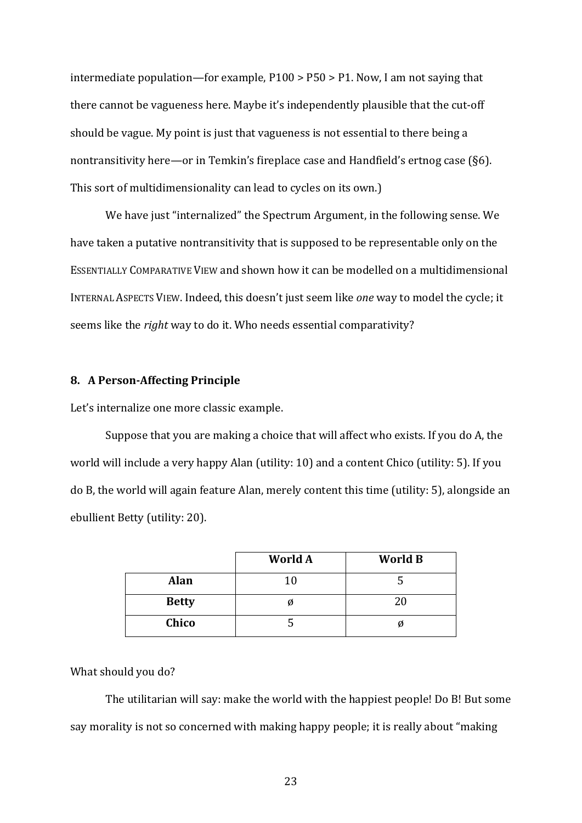intermediate population—for example, P100 > P50 > P1. Now, I am not saying that there cannot be vagueness here. Maybe it's independently plausible that the cut-off should be vague. My point is just that vagueness is not essential to there being a nontransitivity here—or in Temkin's fireplace case and Handfield's ertnog case (§6). This sort of multidimensionality can lead to cycles on its own.)

We have just "internalized" the Spectrum Argument, in the following sense. We have taken a putative nontransitivity that is supposed to be representable only on the ESSENTIALLY COMPARATIVE VIEW and shown how it can be modelled on a multidimensional INTERNAL ASPECTS VIEW. Indeed, this doesn't just seem like *one* way to model the cycle; it seems like the *right* way to do it. Who needs essential comparativity?

## **8. A Person-Affecting Principle**

Let's internalize one more classic example.

Suppose that you are making a choice that will affect who exists. If you do A, the world will include a very happy Alan (utility: 10) and a content Chico (utility: 5). If you do B, the world will again feature Alan, merely content this time (utility: 5), alongside an ebullient Betty (utility: 20).

|              | World A | <b>World B</b> |
|--------------|---------|----------------|
| <b>Alan</b>  | 10      |                |
| <b>Betty</b> |         | 20             |
| Chico        |         | Ø              |

#### What should you do?

The utilitarian will say: make the world with the happiest people! Do B! But some say morality is not so concerned with making happy people; it is really about "making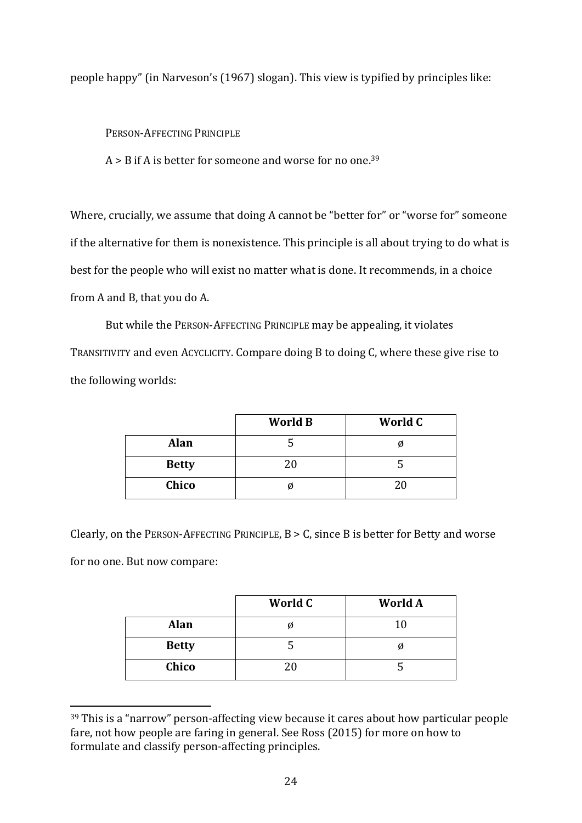people happy" (in Narveson's (1967) slogan). This view is typified by principles like:

PERSON-AFFECTING PRINCIPLE

A > B if A is better for someone and worse for no one.<sup>39</sup>

Where, crucially, we assume that doing A cannot be "better for" or "worse for" someone if the alternative for them is nonexistence. This principle is all about trying to do what is best for the people who will exist no matter what is done. It recommends, in a choice from A and B, that you do A.

But while the PERSON-AFFECTING PRINCIPLE may be appealing, it violates TRANSITIVITY and even ACYCLICITY. Compare doing B to doing C, where these give rise to the following worlds:

|              | <b>World B</b> | World C |
|--------------|----------------|---------|
| <b>Alan</b>  |                |         |
| <b>Betty</b> | 20             |         |
| Chico        |                | 20      |

Clearly, on the PERSON-AFFECTING PRINCIPLE, B > C, since B is better for Betty and worse for no one. But now compare:

|              | World C | <b>World A</b> |
|--------------|---------|----------------|
| <b>Alan</b>  |         | 10             |
| <b>Betty</b> |         |                |
| Chico        |         |                |

<sup>39</sup> This is a "narrow" person-affecting view because it cares about how particular people fare, not how people are faring in general. See Ross (2015) for more on how to formulate and classify person-affecting principles.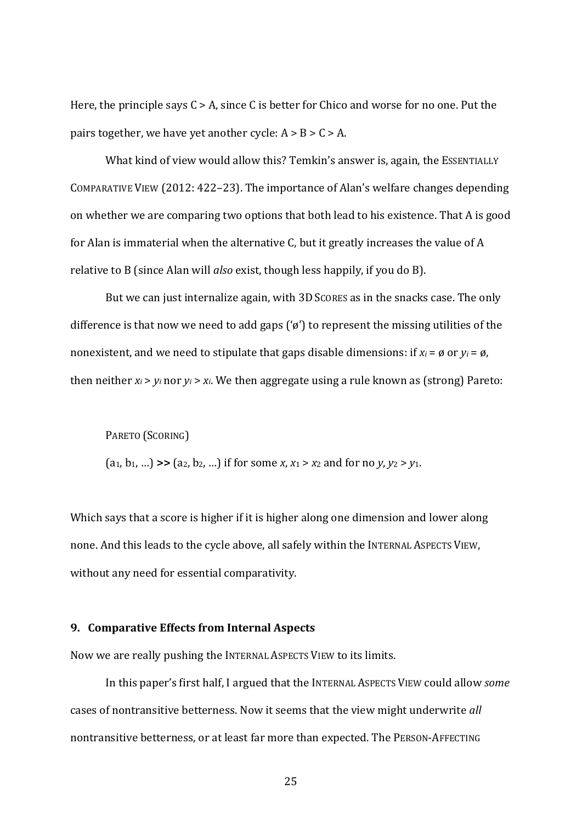Here, the principle says  $C > A$ , since C is better for Chico and worse for no one. Put the pairs together, we have yet another cycle:  $A > B > C > A$ .

What kind of view would allow this? Temkin's answer is, again, the ESSENTIALLY COMPARATIVE VIEW (2012: 422–23). The importance of Alan's welfare changes depending on whether we are comparing two options that both lead to his existence. That A is good for Alan is immaterial when the alternative C, but it greatly increases the value of A relative to B (since Alan will *also* exist, though less happily, if you do B).

But we can just internalize again, with 3D SCORES as in the snacks case. The only difference is that now we need to add gaps ('ø') to represent the missing utilities of the nonexistent, and we need to stipulate that gaps disable dimensions: if  $x_i = \emptyset$  or  $y_i = \emptyset$ , then neither  $x_i > y_i$  nor  $y_i > x_i$ . We then aggregate using a rule known as (strong) Pareto:

PARETO (SCORING)

 $(a_1, b_1, ...)$   $\gg$   $(a_2, b_2, ...)$  if for some *x*, *x*<sub>1</sub>  $>$  *x*<sub>2</sub> and for no *y*, *y*<sub>2</sub>  $>$  *y*<sub>1</sub>.

Which says that a score is higher if it is higher along one dimension and lower along none. And this leads to the cycle above, all safely within the INTERNAL ASPECTS VIEW, without any need for essential comparativity.

#### **9. Comparative Effects from Internal Aspects**

Now we are really pushing the INTERNAL ASPECTS VIEW to its limits.

In this paper's first half, I argued that the INTERNAL ASPECTS VIEW could allow *some*  cases of nontransitive betterness. Now it seems that the view might underwrite *all*  nontransitive betterness, or at least far more than expected. The PERSON-AFFECTING

25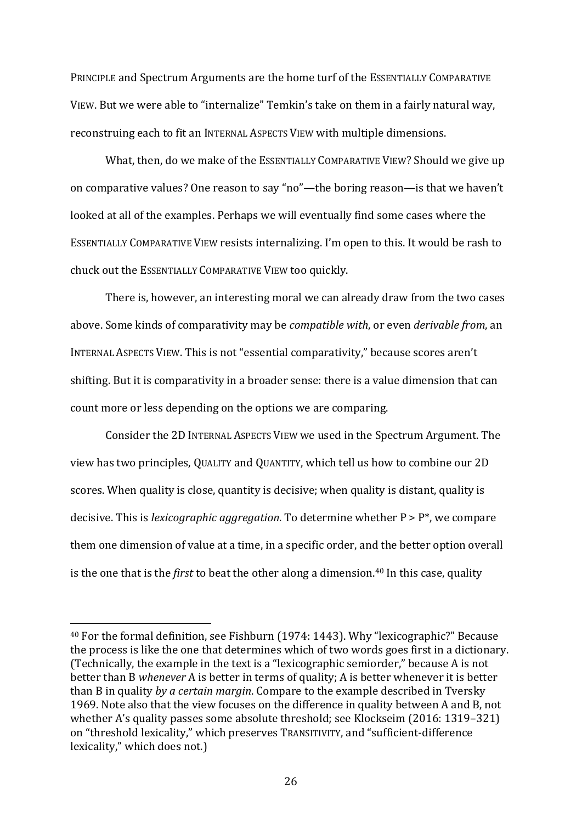PRINCIPLE and Spectrum Arguments are the home turf of the ESSENTIALLY COMPARATIVE VIEW. But we were able to "internalize" Temkin's take on them in a fairly natural way, reconstruing each to fit an INTERNAL ASPECTS VIEW with multiple dimensions.

What, then, do we make of the ESSENTIALLY COMPARATIVE VIEW? Should we give up on comparative values? One reason to say "no"—the boring reason—is that we haven't looked at all of the examples. Perhaps we will eventually find some cases where the ESSENTIALLY COMPARATIVE VIEW resists internalizing. I'm open to this. It would be rash to chuck out the ESSENTIALLY COMPARATIVE VIEW too quickly.

There is, however, an interesting moral we can already draw from the two cases above. Some kinds of comparativity may be *compatible with*, or even *derivable from*, an INTERNAL ASPECTS VIEW. This is not "essential comparativity," because scores aren't shifting. But it is comparativity in a broader sense: there is a value dimension that can count more or less depending on the options we are comparing.

Consider the 2D INTERNAL ASPECTS VIEW we used in the Spectrum Argument. The view has two principles, QUALITY and QUANTITY, which tell us how to combine our 2D scores. When quality is close, quantity is decisive; when quality is distant, quality is decisive. This is *lexicographic aggregation*. To determine whether P > P\*, we compare them one dimension of value at a time, in a specific order, and the better option overall is the one that is the *first* to beat the other along a dimension. <sup>40</sup> In this case, quality

<sup>40</sup> For the formal definition, see Fishburn (1974: 1443). Why "lexicographic?" Because the process is like the one that determines which of two words goes first in a dictionary. (Technically, the example in the text is a "lexicographic semiorder," because A is not better than B *whenever* A is better in terms of quality; A is better whenever it is better than B in quality *by a certain margin*. Compare to the example described in Tversky 1969. Note also that the view focuses on the difference in quality between A and B, not whether A's quality passes some absolute threshold; see Klockseim (2016: 1319–321) on "threshold lexicality," which preserves TRANSITIVITY, and "sufficient-difference lexicality," which does not.)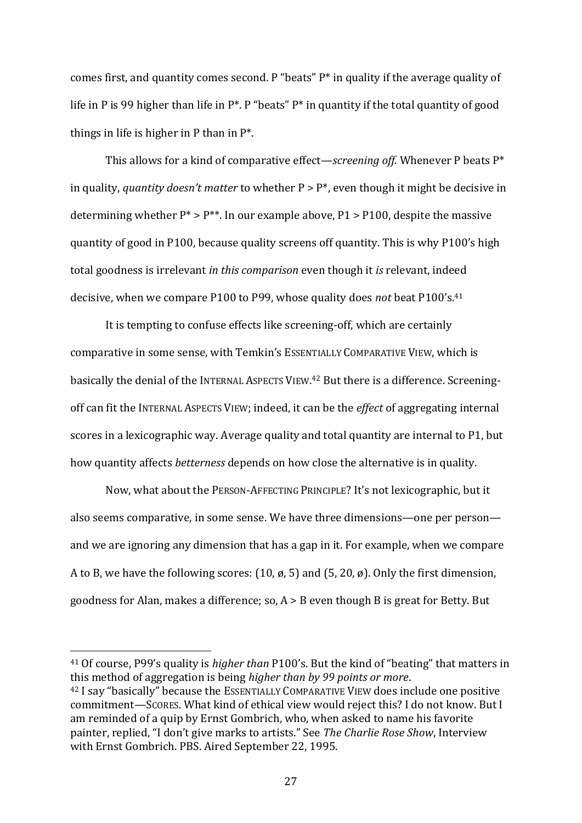comes first, and quantity comes second. P "beats" P\* in quality if the average quality of life in P is 99 higher than life in  $P^*$ . P "beats"  $P^*$  in quantity if the total quantity of good things in life is higher in P than in P\*.

This allows for a kind of comparative effect—*screening off.* Whenever P beats P\* in quality, *quantity doesn't matter* to whether P > P\*, even though it might be decisive in determining whether  $P^* > P^{**}$ . In our example above, P1 > P100, despite the massive quantity of good in P100, because quality screens off quantity. This is why P100's high total goodness is irrelevant *in this comparison* even though it *is* relevant, indeed decisive, when we compare P100 to P99, whose quality does *not* beat P100's.<sup>41</sup>

It is tempting to confuse effects like screening-off, which are certainly comparative in some sense, with Temkin's ESSENTIALLY COMPARATIVE VIEW, which is basically the denial of the INTERNAL ASPECTS VIEW.<sup>42</sup> But there is a difference. Screeningoff can fit the INTERNAL ASPECTS VIEW; indeed, it can be the *effect* of aggregating internal scores in a lexicographic way. Average quality and total quantity are internal to P1, but how quantity affects *betterness* depends on how close the alternative is in quality.

Now, what about the PERSON-AFFECTING PRINCIPLE? It's not lexicographic, but it also seems comparative, in some sense. We have three dimensions—one per person and we are ignoring any dimension that has a gap in it. For example, when we compare A to B, we have the following scores: (10, ø, 5) and (5, 20, ø). Only the first dimension, goodness for Alan, makes a difference; so, A > B even though B is great for Betty. But

<sup>41</sup> Of course, P99's quality is *higher than* P100's. But the kind of "beating" that matters in this method of aggregation is being *higher than by 99 points or more*. <sup>42</sup> I say "basically" because the ESSENTIALLY COMPARATIVE VIEW does include one positive commitment—SCORES. What kind of ethical view would reject this? I do not know. But I am reminded of a quip by Ernst Gombrich, who, when asked to name his favorite

painter, replied, "I don't give marks to artists." See *The Charlie Rose Show*, Interview with Ernst Gombrich. PBS. Aired September 22, 1995.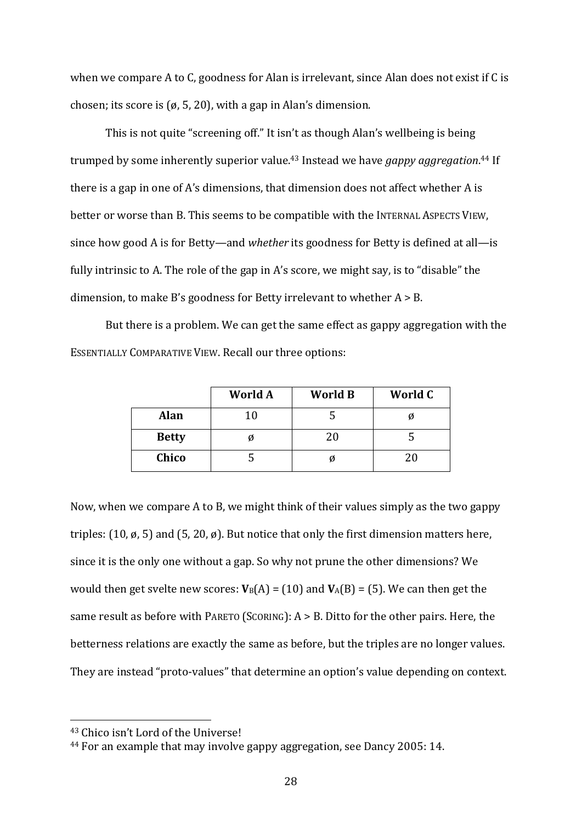when we compare A to C, goodness for Alan is irrelevant, since Alan does not exist if C is chosen; its score is (ø, 5, 20), with a gap in Alan's dimension.

This is not quite "screening off." It isn't as though Alan's wellbeing is being trumped by some inherently superior value.<sup>43</sup> Instead we have *gappy aggregation*. <sup>44</sup> If there is a gap in one of A's dimensions, that dimension does not affect whether A is better or worse than B. This seems to be compatible with the INTERNAL ASPECTS VIEW, since how good A is for Betty—and *whether* its goodness for Betty is defined at all—is fully intrinsic to A. The role of the gap in A's score, we might say, is to "disable" the dimension, to make B's goodness for Betty irrelevant to whether  $A > B$ .

But there is a problem. We can get the same effect as gappy aggregation with the ESSENTIALLY COMPARATIVE VIEW. Recall our three options:

|              | World A | <b>World B</b> | World C |
|--------------|---------|----------------|---------|
| <b>Alan</b>  | 10      |                |         |
| <b>Betty</b> | Ø       | 20             |         |
| Chico        |         |                | 20      |

Now, when we compare A to B, we might think of their values simply as the two gappy triples:  $(10, \emptyset, 5)$  and  $(5, 20, \emptyset)$ . But notice that only the first dimension matters here, since it is the only one without a gap. So why not prune the other dimensions? We would then get svelte new scores:  $V_B(A) = (10)$  and  $V_A(B) = (5)$ . We can then get the same result as before with PARETO (SCORING): A > B. Ditto for the other pairs. Here, the betterness relations are exactly the same as before, but the triples are no longer values. They are instead "proto-values" that determine an option's value depending on context.

<sup>43</sup> Chico isn't Lord of the Universe!

<sup>44</sup> For an example that may involve gappy aggregation, see Dancy 2005: 14.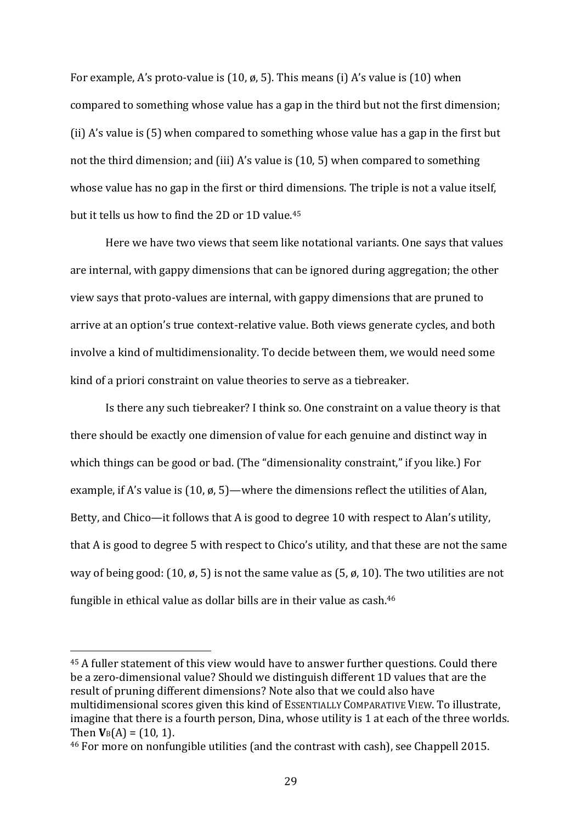For example, A's proto-value is (10, ø, 5). This means (i) A's value is (10) when compared to something whose value has a gap in the third but not the first dimension; (ii) A's value is (5) when compared to something whose value has a gap in the first but not the third dimension; and (iii) A's value is (10, 5) when compared to something whose value has no gap in the first or third dimensions. The triple is not a value itself, but it tells us how to find the 2D or 1D value.<sup>45</sup>

Here we have two views that seem like notational variants. One says that values are internal, with gappy dimensions that can be ignored during aggregation; the other view says that proto-values are internal, with gappy dimensions that are pruned to arrive at an option's true context-relative value. Both views generate cycles, and both involve a kind of multidimensionality. To decide between them, we would need some kind of a priori constraint on value theories to serve as a tiebreaker.

Is there any such tiebreaker? I think so. One constraint on a value theory is that there should be exactly one dimension of value for each genuine and distinct way in which things can be good or bad. (The "dimensionality constraint," if you like.) For example, if A's value is  $(10, \emptyset, 5)$ —where the dimensions reflect the utilities of Alan, Betty, and Chico—it follows that A is good to degree 10 with respect to Alan's utility, that A is good to degree 5 with respect to Chico's utility, and that these are not the same way of being good: (10,  $\emptyset$ , 5) is not the same value as (5,  $\emptyset$ , 10). The two utilities are not fungible in ethical value as dollar bills are in their value as cash.<sup>46</sup>

<sup>45</sup> A fuller statement of this view would have to answer further questions. Could there be a zero-dimensional value? Should we distinguish different 1D values that are the result of pruning different dimensions? Note also that we could also have multidimensional scores given this kind of ESSENTIALLY COMPARATIVE VIEW. To illustrate, imagine that there is a fourth person, Dina, whose utility is 1 at each of the three worlds. Then  $V_B(A) = (10, 1)$ .

<sup>46</sup> For more on nonfungible utilities (and the contrast with cash), see Chappell 2015.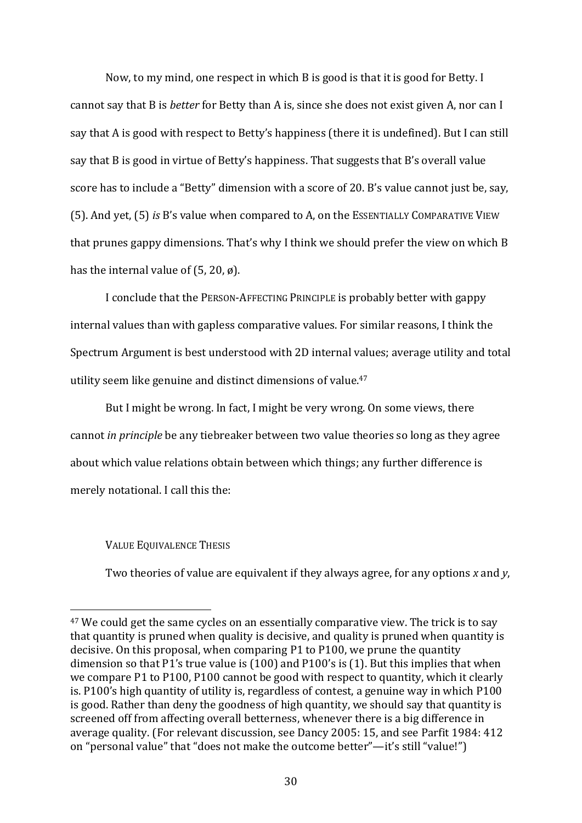Now, to my mind, one respect in which B is good is that it is good for Betty. I cannot say that B is *better* for Betty than A is, since she does not exist given A, nor can I say that A is good with respect to Betty's happiness (there it is undefined). But I can still say that B is good in virtue of Betty's happiness. That suggests that B's overall value score has to include a "Betty" dimension with a score of 20. B's value cannot just be, say, (5). And yet, (5) *is* B's value when compared to A, on the ESSENTIALLY COMPARATIVE VIEW that prunes gappy dimensions. That's why I think we should prefer the view on which B has the internal value of  $(5, 20, \emptyset)$ .

I conclude that the PERSON-AFFECTING PRINCIPLE is probably better with gappy internal values than with gapless comparative values. For similar reasons, I think the Spectrum Argument is best understood with 2D internal values; average utility and total utility seem like genuine and distinct dimensions of value.<sup>47</sup>

But I might be wrong. In fact, I might be very wrong. On some views, there cannot *in principle* be any tiebreaker between two value theories so long as they agree about which value relations obtain between which things; any further difference is merely notational. I call this the:

### VALUE EQUIVALENCE THESIS

Two theories of value are equivalent if they always agree, for any options *x* and *y*,

<sup>&</sup>lt;sup>47</sup> We could get the same cycles on an essentially comparative view. The trick is to say that quantity is pruned when quality is decisive, and quality is pruned when quantity is decisive. On this proposal, when comparing P1 to P100, we prune the quantity dimension so that P1's true value is (100) and P100's is (1). But this implies that when we compare P1 to P100, P100 cannot be good with respect to quantity, which it clearly is. P100's high quantity of utility is, regardless of contest, a genuine way in which P100 is good. Rather than deny the goodness of high quantity, we should say that quantity is screened off from affecting overall betterness, whenever there is a big difference in average quality. (For relevant discussion, see Dancy 2005: 15, and see Parfit 1984: 412 on "personal value" that "does not make the outcome better"—it's still "value!")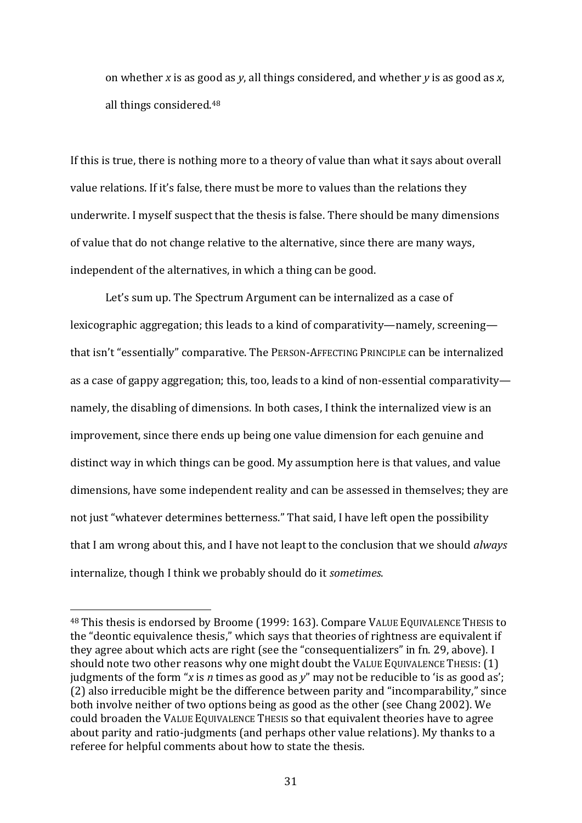on whether *x* is as good as *y*, all things considered, and whether *y* is as good as *x*, all things considered. 48

If this is true, there is nothing more to a theory of value than what it says about overall value relations. If it's false, there must be more to values than the relations they underwrite. I myself suspect that the thesis is false. There should be many dimensions of value that do not change relative to the alternative, since there are many ways, independent of the alternatives, in which a thing can be good.

Let's sum up. The Spectrum Argument can be internalized as a case of lexicographic aggregation; this leads to a kind of comparativity—namely, screening that isn't "essentially" comparative. The PERSON-AFFECTING PRINCIPLE can be internalized as a case of gappy aggregation; this, too, leads to a kind of non-essential comparativity namely, the disabling of dimensions. In both cases, I think the internalized view is an improvement, since there ends up being one value dimension for each genuine and distinct way in which things can be good. My assumption here is that values, and value dimensions, have some independent reality and can be assessed in themselves; they are not just "whatever determines betterness." That said, I have left open the possibility that I am wrong about this, and I have not leapt to the conclusion that we should *always*  internalize, though I think we probably should do it *sometimes*.

<sup>48</sup> This thesis is endorsed by Broome (1999: 163). Compare VALUE EQUIVALENCE THESIS to the "deontic equivalence thesis," which says that theories of rightness are equivalent if they agree about which acts are right (see the "consequentializers" in fn. 29, above). I should note two other reasons why one might doubt the VALUE EQUIVALENCE THESIS: (1) judgments of the form "*x* is *n* times as good as *y*" may not be reducible to 'is as good as'; (2) also irreducible might be the difference between parity and "incomparability," since both involve neither of two options being as good as the other (see Chang 2002). We could broaden the VALUE EQUIVALENCE THESIS so that equivalent theories have to agree about parity and ratio-judgments (and perhaps other value relations). My thanks to a referee for helpful comments about how to state the thesis.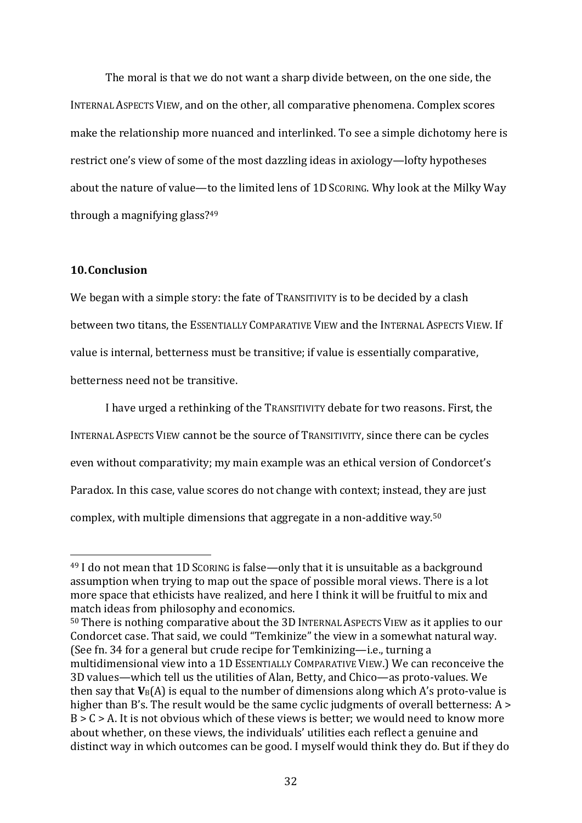The moral is that we do not want a sharp divide between, on the one side, the INTERNAL ASPECTS VIEW, and on the other, all comparative phenomena. Complex scores make the relationship more nuanced and interlinked. To see a simple dichotomy here is restrict one's view of some of the most dazzling ideas in axiology—lofty hypotheses about the nature of value—to the limited lens of 1D SCORING. Why look at the Milky Way through a magnifying glass? 49

## **10.Conclusion**

We began with a simple story: the fate of TRANSITIVITY is to be decided by a clash between two titans, the ESSENTIALLY COMPARATIVE VIEW and the INTERNAL ASPECTS VIEW. If value is internal, betterness must be transitive; if value is essentially comparative, betterness need not be transitive.

I have urged a rethinking of the TRANSITIVITY debate for two reasons. First, the INTERNAL ASPECTS VIEW cannot be the source of TRANSITIVITY, since there can be cycles even without comparativity; my main example was an ethical version of Condorcet's Paradox. In this case, value scores do not change with context; instead, they are just complex, with multiple dimensions that aggregate in a non-additive way.<sup>50</sup>

<sup>50</sup> There is nothing comparative about the 3D INTERNAL ASPECTS VIEW as it applies to our Condorcet case. That said, we could "Temkinize" the view in a somewhat natural way. (See fn. 34 for a general but crude recipe for Temkinizing—i.e., turning a multidimensional view into a 1D ESSENTIALLY COMPARATIVE VIEW.) We can reconceive the 3D values—which tell us the utilities of Alan, Betty, and Chico—as proto-values. We then say that **V**B(A) is equal to the number of dimensions along which A's proto-value is higher than B's. The result would be the same cyclic judgments of overall betterness: A >  $B > C > A$ . It is not obvious which of these views is better; we would need to know more about whether, on these views, the individuals' utilities each reflect a genuine and distinct way in which outcomes can be good. I myself would think they do. But if they do

<sup>49</sup> I do not mean that 1D SCORING is false—only that it is unsuitable as a background assumption when trying to map out the space of possible moral views. There is a lot more space that ethicists have realized, and here I think it will be fruitful to mix and match ideas from philosophy and economics.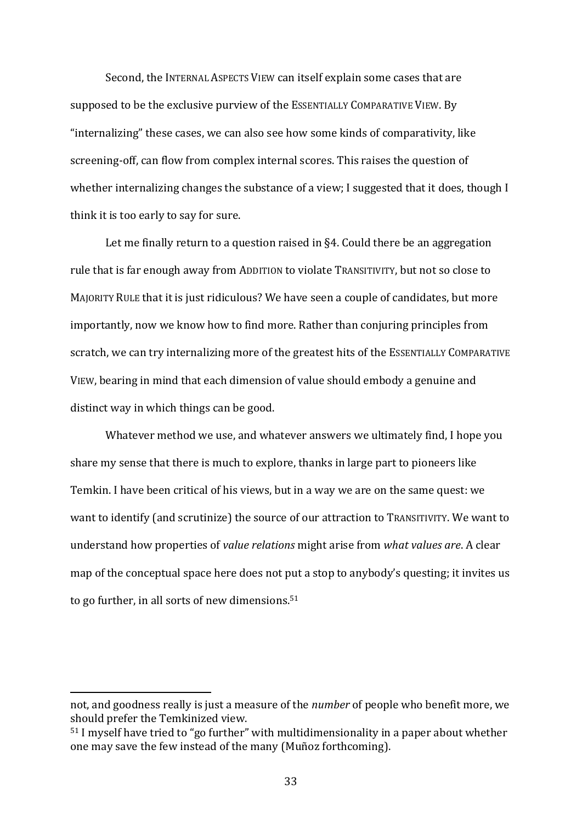Second, the INTERNAL ASPECTS VIEW can itself explain some cases that are supposed to be the exclusive purview of the ESSENTIALLY COMPARATIVE VIEW. By "internalizing" these cases, we can also see how some kinds of comparativity, like screening-off, can flow from complex internal scores. This raises the question of whether internalizing changes the substance of a view; I suggested that it does, though I think it is too early to say for sure.

Let me finally return to a question raised in §4. Could there be an aggregation rule that is far enough away from ADDITION to violate TRANSITIVITY, but not so close to MAJORITY RULE that it is just ridiculous? We have seen a couple of candidates, but more importantly, now we know how to find more. Rather than conjuring principles from scratch, we can try internalizing more of the greatest hits of the ESSENTIALLY COMPARATIVE VIEW, bearing in mind that each dimension of value should embody a genuine and distinct way in which things can be good.

Whatever method we use, and whatever answers we ultimately find, I hope you share my sense that there is much to explore, thanks in large part to pioneers like Temkin. I have been critical of his views, but in a way we are on the same quest: we want to identify (and scrutinize) the source of our attraction to TRANSITIVITY. We want to understand how properties of *value relations* might arise from *what values are*. A clear map of the conceptual space here does not put a stop to anybody's questing; it invites us to go further, in all sorts of new dimensions.<sup>51</sup>

not, and goodness really is just a measure of the *number* of people who benefit more, we should prefer the Temkinized view.

<sup>51</sup> I myself have tried to "go further" with multidimensionality in a paper about whether one may save the few instead of the many (Muñoz forthcoming).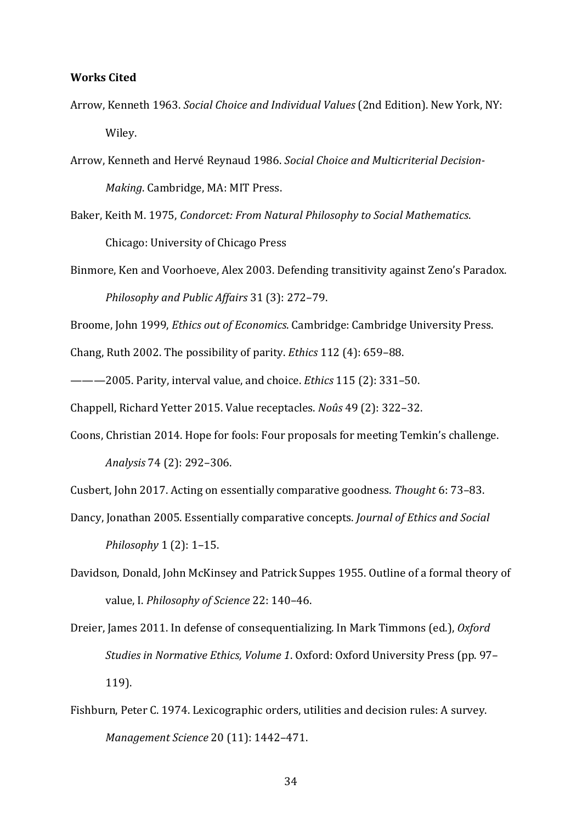#### **Works Cited**

- Arrow, Kenneth 1963. *Social Choice and Individual Values* (2nd Edition). New York, NY: Wiley.
- Arrow, Kenneth and Hervé Reynaud 1986. *Social Choice and Multicriterial Decision-Making*. Cambridge, MA: MIT Press.
- Baker, Keith M. 1975, *Condorcet: From Natural Philosophy to Social Mathematics*. Chicago: University of Chicago Press

Binmore, Ken and Voorhoeve, Alex 2003. Defending transitivity against Zeno's Paradox. *Philosophy and Public Affairs* 31 (3): 272–79.

Broome, John 1999, *Ethics out of Economics*. Cambridge: Cambridge University Press.

Chang, Ruth 2002. The possibility of parity. *Ethics* 112 (4): 659–88.

———2005. Parity, interval value, and choice. *Ethics* 115 (2): 331–50.

Chappell, Richard Yetter 2015. Value receptacles. *Noûs* 49 (2): 322–32.

Coons, Christian 2014. Hope for fools: Four proposals for meeting Temkin's challenge.

*Analysis* 74 (2): 292–306.

Cusbert, John 2017. Acting on essentially comparative goodness. *Thought* 6: 73–83.

- Dancy, Jonathan 2005. Essentially comparative concepts. *Journal of Ethics and Social Philosophy* 1 (2): 1–15.
- Davidson, Donald, John McKinsey and Patrick Suppes 1955. Outline of a formal theory of value, I. *Philosophy of Science* 22: 140–46.
- Dreier, James 2011. In defense of consequentializing. In Mark Timmons (ed.), *Oxford Studies in Normative Ethics, Volume 1*. Oxford: Oxford University Press (pp. 97– 119).
- Fishburn, Peter C. 1974. Lexicographic orders, utilities and decision rules: A survey. *Management Science* 20 (11): 1442–471.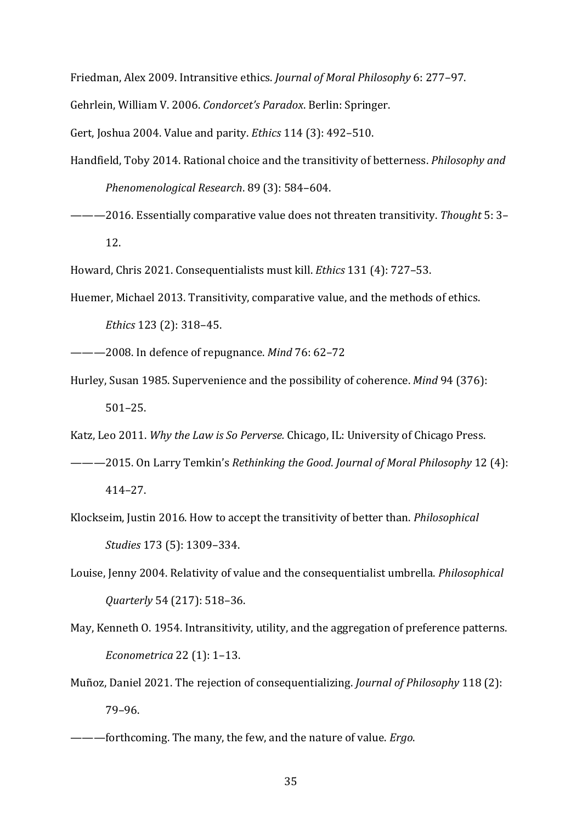Friedman, Alex 2009. Intransitive ethics. *Journal of Moral Philosophy* 6: 277–97.

Gehrlein, William V. 2006. *Condorcet's Paradox*. Berlin: Springer.

Gert, Joshua 2004. Value and parity. *Ethics* 114 (3): 492–510.

Handfield, Toby 2014. Rational choice and the transitivity of betterness. *Philosophy and Phenomenological Research*. 89 (3): 584–604.

———2016. Essentially comparative value does not threaten transitivity. *Thought* 5: 3– 12.

Howard, Chris 2021. Consequentialists must kill. *Ethics* 131 (4): 727–53.

Huemer, Michael 2013. Transitivity, comparative value, and the methods of ethics. *Ethics* 123 (2): 318–45.

- ———2008. In defence of repugnance. *Mind* 76: 62–72
- Hurley, Susan 1985. Supervenience and the possibility of coherence. *Mind* 94 (376): 501–25.

Katz, Leo 2011. *Why the Law is So Perverse.* Chicago, IL: University of Chicago Press.

- ———2015. On Larry Temkin's *Rethinking the Good*. *Journal of Moral Philosophy* 12 (4): 414–27.
- Klockseim, Justin 2016. How to accept the transitivity of better than. *Philosophical Studies* 173 (5): 1309–334.
- Louise, Jenny 2004. Relativity of value and the consequentialist umbrella. *Philosophical Quarterly* 54 (217): 518–36.
- May, Kenneth O. 1954. Intransitivity, utility, and the aggregation of preference patterns. *Econometrica* 22 (1): 1–13.
- Muñoz, Daniel 2021. The rejection of consequentializing. *Journal of Philosophy* 118 (2): 79–96.
- ———forthcoming. The many, the few, and the nature of value. *Ergo*.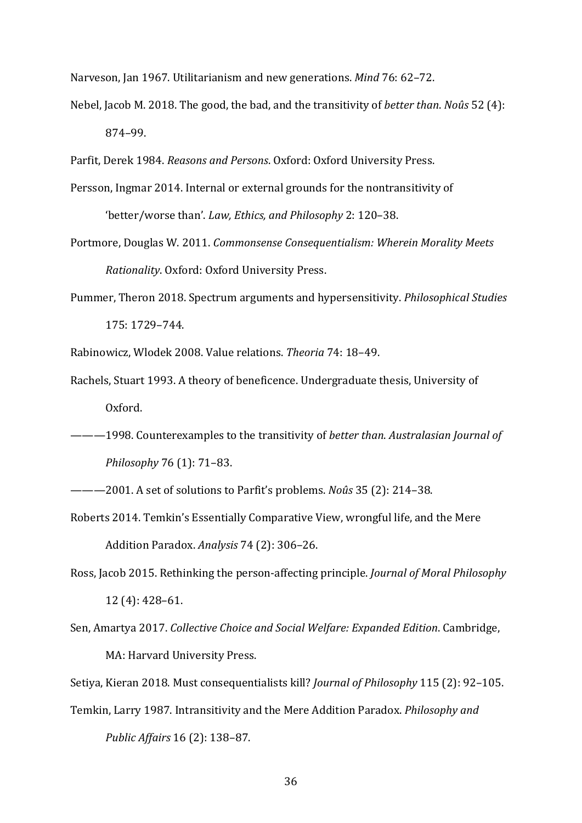Narveson, Jan 1967. Utilitarianism and new generations. *Mind* 76: 62–72.

Nebel, Jacob M. 2018. The good, the bad, and the transitivity of *better than*. *Noûs* 52 (4): 874–99.

Parfit, Derek 1984. *Reasons and Persons*. Oxford: Oxford University Press.

- Persson, Ingmar 2014. Internal or external grounds for the nontransitivity of 'better/worse than'. *Law, Ethics, and Philosophy* 2: 120–38.
- Portmore, Douglas W. 2011. *Commonsense Consequentialism: Wherein Morality Meets Rationality*. Oxford: Oxford University Press.
- Pummer, Theron 2018. Spectrum arguments and hypersensitivity. *Philosophical Studies* 175: 1729–744.
- Rabinowicz, Wlodek 2008. Value relations. *Theoria* 74: 18–49.
- Rachels, Stuart 1993. A theory of beneficence. Undergraduate thesis, University of Oxford.
- ———1998. Counterexamples to the transitivity of *better than*. *Australasian Journal of Philosophy* 76 (1): 71–83.
- ———2001. A set of solutions to Parfit's problems. *Noûs* 35 (2): 214–38.
- Roberts 2014. Temkin's Essentially Comparative View, wrongful life, and the Mere Addition Paradox. *Analysis* 74 (2): 306–26.
- Ross, Jacob 2015. Rethinking the person-affecting principle. *Journal of Moral Philosophy*  12 (4): 428–61.
- Sen, Amartya 2017. *Collective Choice and Social Welfare: Expanded Edition*. Cambridge, MA: Harvard University Press.

Setiya, Kieran 2018. Must consequentialists kill? *Journal of Philosophy* 115 (2): 92–105.

Temkin, Larry 1987. Intransitivity and the Mere Addition Paradox. *Philosophy and Public Affairs* 16 (2): 138–87.